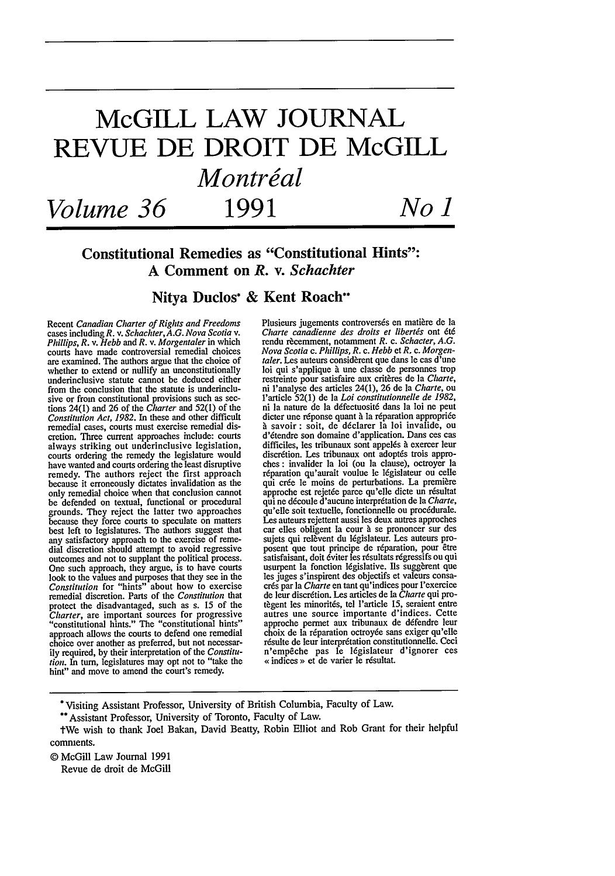# **McGILL LAW JOURNAL REVUE DE DROIT DE McGILL** *Montreal Volume 36* **1991** *No ) 1 !*

# Constitutional Remedies as "Constitutional Hints": **A** Comment on *R.* v. *Schachter*

### Nitya Duclos\* **&** Kent Roach\*\*

Recent Canadian Charter *of Rights and Freedoms* cases including *R.* v. *Schachter, A.G. Nova Scotia v. Phillips, R. v. Hebb and R. v. Morgentaler* in which courts have made controversial remedial choices are examined. The authors argue that the choice of whether to extend or nullify an unconstitutionally underinclusive statute cannot be deduced either from the conclusion that the statute is underinclusive or from constitutional provisions such as sec-tions 24(1) and 26 of the *Charter* and 52(l) of the *Constitution Act, 1982.* In these and other difficult remedial cases, courts must exercise remedial discretion. Three current approaches include: courts always striking out underinclusive legislation, courts ordering the remedy the legislature would have wanted and courts ordering the least disruptive remedy. The authors reject the first approach because it erroneously dictates invalidation as the only remedial choice when that conclusion cannot be defended on textual, functional or procedural grounds. They reject the latter two approaches because they force courts to speculate on matters best left to legislatures. The authors suggest that any satisfactory approach to the exercise of remedial discretion should attempt to avoid regressive outcomes and not to supplant the political process. One such approach, they argue, is to have courts look to the values and purposes that they see in the *Constitution* for "hints" about how to exercise remedial discretion. Parts of the *Constitution* that protect the disadvantaged, such as s. 15 of the *Charter, are important sources for progressive* "constitutional hints." The "constitutional hints." approach allows the courts to defend one remedial choice over another as preferred, but not necessarily required, by their interpretation of the *Constitution.* In tum, legislatures may opt not to "take the hint" and move to amend the court's remedy.

Plusieurs jugements controversés en matière de la *Charte canadienne des droits et libertis* ont *6t6* rendu rècemment, notamment *R. c. Schacter*, *A.G. Nova Scotia c. Phillips, R. c. Hebb* et *R.* c. *Morgen-taler.* Les auteurs consid6rent que dans le cas d'une loi qui s'applique à une classe de personnes trop restreinte pour satisfaire aux critères de la *Charte*, ni l'analyse des articles 24(l), 26 de la *Charte,* ou l'article 52(1) de Ia *Loi constitutionnelle de 1982,* ni la nature de la défectuosité dans la loi ne peu dicter une rdponse quant **A** la r6paration appropri6e **A** savoir : soit, de d6clarer la loi invalide, ou d'6tendre son domaine d'application. Dans ces cas difficiles, les tribunaux sont appelés à exercer leur discrétion. Les tribunaux ont adoptés trois approches : invalider la loi (ou la clause), octroyer la réparation qu'aurait voulue le législateur ou celle qui crée le moins de perturbations. La première approche est rejet6e parce qu'elle dicte un r6sultat qui ne d6coule d'aucune interpr6tation de la *Charte,* qu'elle soit textuelle, fonctionnelle ou proc6durale. Les auteurs rejettent aussi les deux autres approches car elles obligent la cour **A** se prononcer sur des sujets qui relèvent du législateur. Les auteurs proposent que tout principe de réparation, pour être satisfaisant, doit éviter les résultats régressifs ou qui usurpent la fonction législative. Ils suggèrent que les juges s'inspirent des objectifs et valeurs consacrds par la *Charte* en tant qu'indices pour l'exercice de leur discr6tion. Les articles de ]a *Charte* qui protègent les minorités, tel l'article 15, seraient entre autres une source importante d'indices. Cette approche permet aux tribunaux de d6fendre leur choix de la réparation octroyée sans exiger qu'elle r6sulte de leur interprdtation constitutionnelle. Ceci n'empeche pas le 16gislateur d'ignorer ces **<** indices **o** et de varier le r6sultat.

\* Visiting Assistant Professor, University of British Columbia, Faculty of Law.

Revue de droit de McGill

<sup>\*\*</sup> Assistant Professor, University of Toronto, Faculty of Law.

tWe wish to thank Joel Bakan, David Beatty, Robin Elliot and Rob Grant for their helpful comments.

<sup>©</sup> McGill Law Journal 1991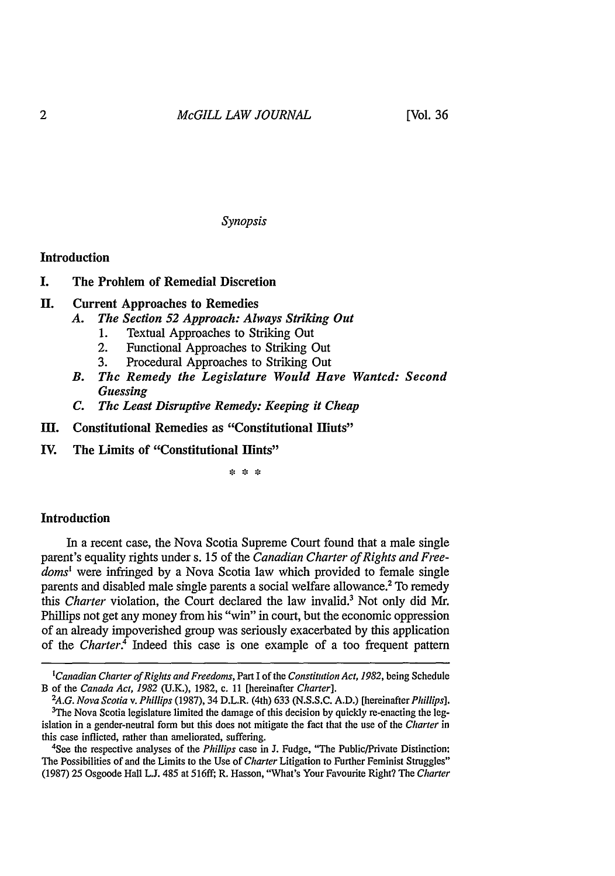*Synopsis*

#### Introduction

**I.** The Problem of Remedial Discretion

# **H.** Current Approaches to Remedies

- *A. The Section 52 Approach: Always Striking Out*
	- **1.** Textual Approaches to Striking Out
	- 2. Functional Approaches to Striking Out
	- 3. Procedural Approaches to Striking Out
- *B. The Remedy the Legislature Would Have Wanted: Second Guessing*
- *C. The Least Disruptive Remedy: Keeping it Cheap*
- **III. Constitutional Remedies as "Constitutional Hints"**
- IV. The Limits of "Constitutional Hints"

\* \* \*

#### **Introduction**

In a recent case, the Nova Scotia Supreme Court found that a male single parent's equality rights under s. 15 of the *Canadian Charter of Rights and Freedoms'* were infringed by a Nova Scotia law which provided to female single parents and disabled male single parents a social welfare allowance.<sup>2</sup> To remedy *this Charter* violation, the Court declared the law invalid.' Not only did Mr. Phillips not get any money from his "win" in court, but the economic oppression of an already impoverished group was seriously exacerbated by this application of the *Charter.4* Indeed this case is one example of a too frequent pattern

4See the respective analyses of the *Phillips* case in J. Fudge, "The Public/Private Distinction: The Possibilities of and the Limits to the Use of *Charter* Litigation to Further Feminist Struggles" (1987) 25 Osgoode Hall **L.J.** 485 at 516ff; R. Hasson, "What's Your Favourite Right? The *Charter*

*<sup>&#</sup>x27;Canadian Charter of Rights and Freedoms,* Part I of the *Constitution Act, 1982,* being Schedule B of the *Canada Act, 1982* (U.K.), 1982, c. 11 [hereinafter *Charter]. <sup>2</sup>*

*A.G. Nova Scotia v. Phillips* (1987), 34 D.L.R. (4th) 633 (N.S.S.C. A.D.) [hereinafter *Phillips].*  $3$ The Nova Scotia legislature limited the damage of this decision by quickly re-enacting the legislation in a gender-neutral form but this does not mitigate the fact that the use of the *Charter* in this case inflicted, rather than ameliorated, suffering.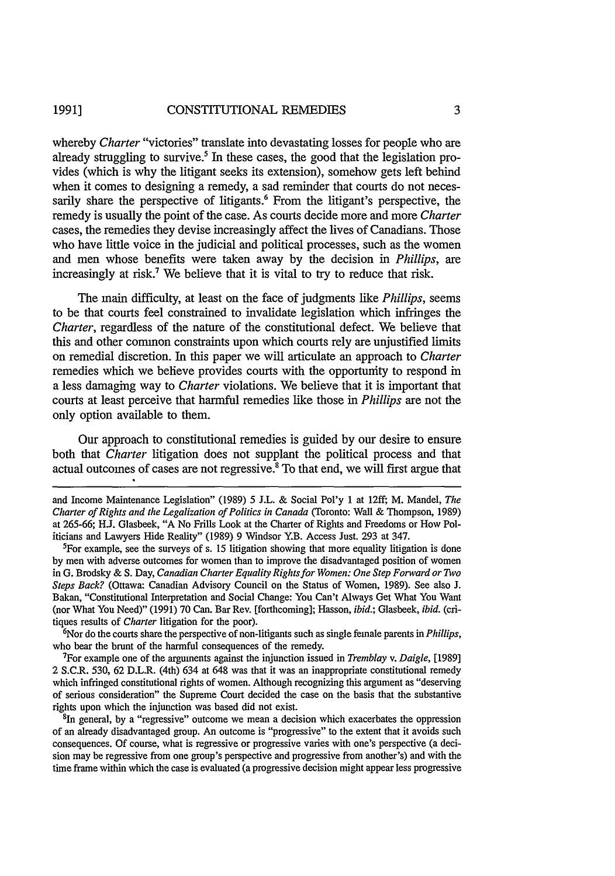whereby *Charter* "victories" translate into devastating losses for people who are already struggling to survive.<sup>5</sup> In these cases, the good that the legislation provides (which is why the litigant seeks its extension), somehow gets left behind when it comes to designing a remedy, a sad reminder that courts do not necessarily share the perspective of litigants.<sup>6</sup> From the litigant's perspective, the remedy is usually the point of the case. As courts decide more and more *Charter* cases, the remedies they devise increasingly affect the lives of Canadians. Those who have little voice in the judicial and political processes, such as the women and men whose benefits were taken away by the decision in *Phillips, are* increasingly at risk.<sup>7</sup> We believe that it is vital to try to reduce that risk.

The main difficulty, at least on the face of judgments like *Phillips,* seems to be that courts feel constrained to invalidate legislation which infringes the *Charter,* regardless of the nature of the constitutional defect. We believe that this and other common constraints upon which courts rely are unjustified limits on remedial discretion. In this paper we will articulate an approach to *Charter* remedies which we believe provides courts with the opportunity to respond in a less damaging way to *Charter* violations. We believe that it is important that courts at least perceive that harmful remedies like those in *Phillips* are not the only option available to them.

Our approach to constitutional remedies is guided by our desire to ensure both that *Charter* litigation does not supplant the political process and that actual outcomes of cases are not regressive.<sup>8</sup> To that end, we will first argue that

and Income Maintenance Legislation" (1989) 5 J.L. & Social Pol'y 1 at 12ff; M. Mandel, *The* Charter *of Rights and the Legalization of Politics in Canada* (Toronto: Wall & Thompson, 1989) at 265-66; **H..** Glasbeek, "A No Frills Look at the Charter of Rights and Freedoms or How Politicians and Lawyers Hide Reality" (1989) 9 Windsor Y.B. Access Just. 293 at 347.

For example, see the surveys of s. 15 litigation showing that more equality litigation is done by men with adverse outcomes for women than to improve the disadvantaged position of women in G. Brodsky & S. Day, Canadian *Charter Equality Rights for Women: One Step Forward or Two Steps Back?* (Ottawa: Canadian Advisory Council on the Status of Women, 1989). See also J. Bakan, "Constitutional Interpretation and Social Change: You Can't Always Get What You Want (nor What You Need)" (1991) 70 Can. Bar Rev. [forthcoming]; Hasson, *ibid.;* Glasbeek, *ibid.* (critiques results of *Charter* litigation for the poor).

6 Nor do the courts share the perspective of non-litigants such as single female parents in *Phillips,* who bear the brunt of the harmful consequences of the remedy.

For example one of the arguments against the injunction issued in *Tremblay v. Daigle,* [1989] 2 S.C.R. 530, 62 D.L.R. (4th) 634 at 648 was that it was an inappropriate constitutional remedy which infringed constitutional rights of women. Although recognizing this argument as "deserving of serious consideration" the Supreme Court decided the case on the basis that the substantive rights upon which the injunction was based did not exist.

<sup>8</sup>In general, by a "regressive" outcome we mean a decision which exacerbates the oppression of an already disadvantaged group. An outcome is "progressive" to the extent that it avoids such consequences. Of course, what is regressive or progressive varies with one's perspective (a decision may be regressive from one group's perspective and progressive from another's) and with the time frame within which the case is evaluated (a progressive decision might appear less progressive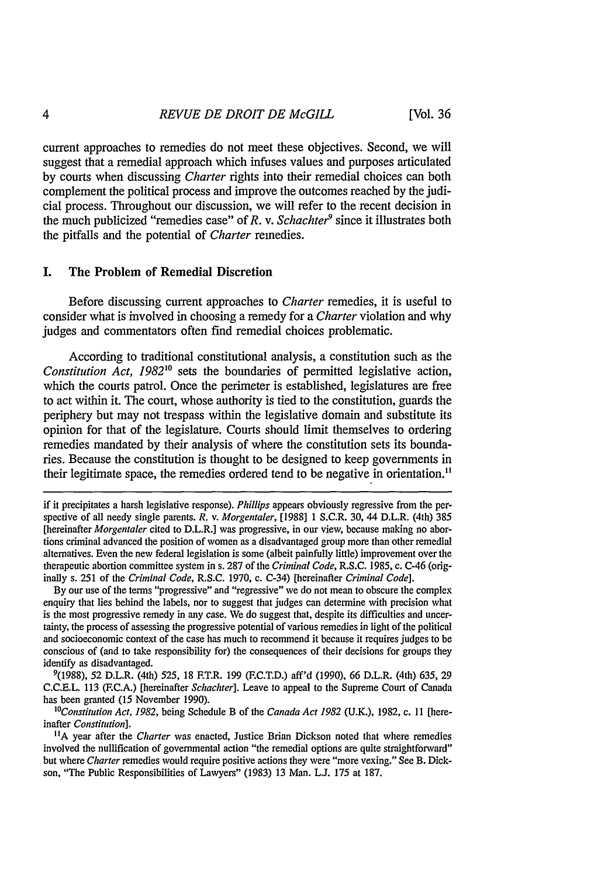current approaches to remedies do not meet these objectives. Second, we will suggest that a remedial approach which infuses values and purposes articulated by courts when discussing *Charter* rights into their remedial choices can both complement the political process and improve the outcomes reached by the judicial process. Throughout our discussion, we will refer to the recent decision in the much publicized "remedies case" of *R*. *v. Schachter*<sup>9</sup> since it illustrates both the pitfalls and the potential of *Charter* remedies.

### I. The Problem of Remedial Discretion

Before discussing current approaches to *Charter* remedies, it is useful to consider what is involved in choosing a remedy for a *Charter* violation and why judges and commentators often find remedial choices problematic.

According to traditional constitutional analysis, a constitution such as the *Constitution Act, 1982<sup>10</sup>* sets the boundaries of permitted legislative action, which the courts patrol. Once the perimeter is established, legislatures are free to act within it. The court, whose authority is tied to the constitution, guards the periphery but may not trespass within the legislative domain and substitute its opinion for that of the legislature. Courts should limit themselves to ordering remedies mandated by their analysis of where the constitution sets its boundaries. Because the constitution is thought to be designed to keep governments in their legitimate space, the remedies ordered tend to be negative in orientation.<sup>11</sup>

By our use of the terms "progressive" and "regressive" we do not mean to obscure the complex enquiry that lies behind the labels, nor to suggest that judges can determine with precision what is the most progressive remedy in any case. We do suggest that, despite its difficulties and uncertainty, the process of assessing the progressive potential of various remedies in light of the political and socioeconomic context of the case has much to recommend it because it requires judges to be conscious of (and to take responsibility for) the consequences of their decisions for groups they identify as disadvantaged.

9(1988), 52 D.L.R. (4th) 525, 18 F.T.R. 199 (F.C.T.D.) aff'd (1990), 66 D.L.R. (4th) 635, 29 C.C.E.L. 113 (F.C.A.) [hereinafter *Schachter].* Leave to appeal to the Supreme Court of Canada has been granted (15 November 1990).

*"'Constitution Act, 1982,* being Schedule B of the *Canada Act 1982* (U.K.), 1982, c. **II** [hereinafter *Constitution].*

**IIA** year after the *Charter* was enacted, Justice Brian Dickson noted that where remedies involved the nullification of governmental action "the remedial options are quite straightforward" but where *Charter* remedies would require positive actions they were "more vexing." See B. Dickson, "The Public Responsibilities of Lawyers" (1983) 13 Man. **L.J.** 175 at 187.

if it precipitates a harsh legislative response). *Phillips* appears obviously regressive from the perspective of all needy single parents. *R.* v. *Morgentaler,* [1988] 1 S.C.R. 30, 44 D.L.R. (4th) 385 [hereinafter *Morgentaler* cited to D.L.R.] was progressive, in our view, because making no abortions criminal advanced the position of women as a disadvantaged group more than other remedial alternatives. Even the new federal legislation is some (albeit painfully little) improvement over the therapeutic abortion committee system in s. 287 of the *Criminal Code,* R.S.C. 1985, c. C-46 (originally s. 251 of the *Criminal Code,* R.S.C. 1970, c. C-34) [hereinafter *Criminal Code].*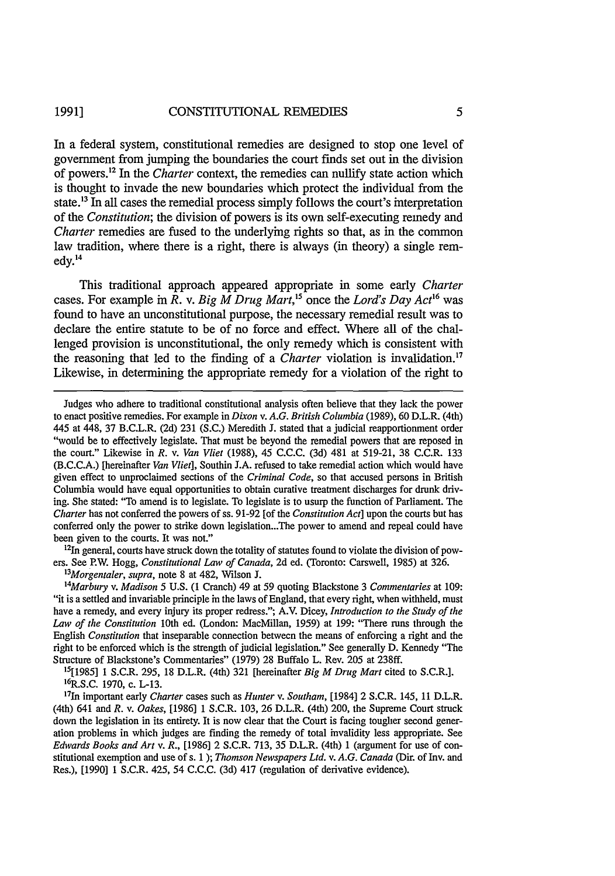In a federal system, constitutional remedies are designed to stop one level of government from jumping the boundaries the court finds set out in the division of powers.<sup>12</sup> In the *Charter* context, the remedies can nullify state action which is thought to invade the new boundaries which protect the individual from the state.<sup>13</sup> In all cases the remedial process simply follows the court's interpretation of the *Constitution;* the division of powers is its own self-executing remedy and *Charter remedies are fused to the underlying rights so that, as in the common* law tradition, where there is a right, there is always (in theory) a single remedy. <sup>14</sup>

This traditional approach appeared appropriate in some early *Charter* cases. For example in *R*. *v. Big M Drug Mart*,<sup>15</sup> once the *Lord's Day Act*<sup>16</sup> was found to have an unconstitutional purpose, the necessary remedial result was to declare the entire statute to be of no force and effect. Where all of the challenged provision is unconstitutional, the only remedy which is consistent with the reasoning that led to the finding of a *Charter* violation is invalidation.<sup>17</sup> Likewise, in determining the appropriate remedy for a violation of the right to

 $12$ In general, courts have struck down the totality of statutes found to violate the division of powers. See P.W. Hogg, *Constitutional Law of Canada,* 2d ed. (Toronto: Carswell, 1985) at 326.

*1 3 Morgentaler, supra,* note 8 at 482, Wilson J.

*1 4 Marbury v. Madison 5* U.S. (1 Cranch) 49 at 59 quoting Blackstone 3 *Commentaries* at 109: "it is a settled and invariable principle in the laws of England, that every right, when withheld, must have a remedy, and every injury its proper redress."; A.V. Dicey, *Introduction to the Study of the Law of the Constitution* 10th ed. (London: MacMillan, 1959) at 199: "There runs through the English *Constitution* that inseparable connection between the means of enforcing a right and the right to be enforced which is the strength of judicial legislation." See generally D. Kennedy "The Structure of Blackstone's Commentaries" (1979) 28 Buffalo L. Rev. 205 at 238ff.

15[1985J **1** S.C.R. 295, 18 D.L.R. (4th) 321 [hereinafter *Big M Drug Mart* cited to S.C.R.]. <sup>1</sup> 6  $\frac{6}{1}$ R.S.C. 1970, c. L-13.

1 1n important early Charter cases such as *Hunter v. Southam,* [1984] 2 S.C.R. 145, 11 D.L.R. (4th) 641 and *R.* v. *Oakes,* [1986] 1 S.C.R. 103, 26 D.L.R. (4th) 200, the Supreme Court struck down the legislation in its entirety. It is now clear that the Court is facing tougher second generation problems in which judges are finding the remedy of total invalidity less appropriate. See *Edwards Books and Art v. R.,* [1986] 2 S.C.R. 713, 35 D.L.R. (4th) 1 (argument for use of constitutional exemption and use of s. 1 ); *Thomson Newspapers Ltd. v. A.G.* Canada (Dir. of Inv. and Res.), [1990] **1** S.C.R. 425, 54 C.C.C. (3d) 417 (regulation of derivative evidence).

Judges who adhere to traditional constitutional analysis often believe that they lack the power to enact positive remedies. For example in *Dixon v. A.G. British Columbia* (1989), 60 D.L.R. (4th) 445 at 448, 37 B.C.L.R. (2d) 231 (S.C.) Meredith J. stated that a judicial reapportionment order "would be to effectively legislate. That must be beyond the remedial powers that are reposed in the court." Likewise in *R.* v. *Van Vliet* (1988), 45 C.C.C. (3d) 481 at 519-21, 38 C.C.R. 133 (B.C.C.A.) [hereinafter *Van Vliet],* Southin J.A. refused to take remedial action which would have given effect to unproclaimed sections of the *Criminal Code,* so that accused persons in British Columbia would have equal opportunities to obtain curative treatment discharges for drunk driving. She stated: "To amend is to legislate. To legislate is to usurp the function of Parliament. The Charter has not conferred the powers of ss. 91-92 [of the *Constitution Act]* upon the courts but has conferred only the power to strike down legislation...The power to amend and repeal could have been given to the courts. It was not."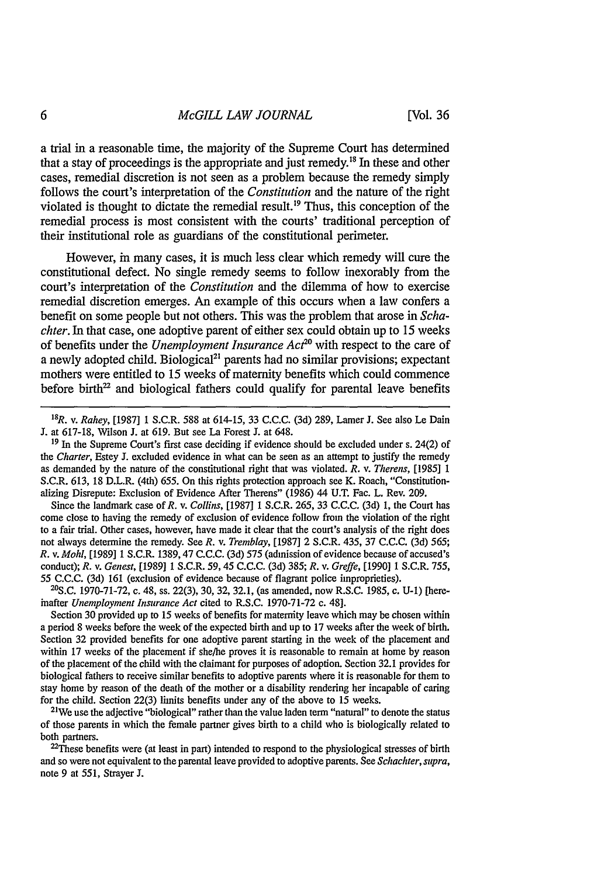a trial in a reasonable time, the majority of the Supreme Court has determined that a stay of proceedings is the appropriate and just remedy."3 In these and other cases, remedial discretion is not seen as a problem because the remedy simply follows the court's interpretation of the *Constitution* and the nature of the right violated is thought to dictate the remedial result.<sup>19</sup> Thus, this conception of the remedial process is most consistent with the courts' traditional perception of their institutional role as guardians of the constitutional perimeter.

However, in many cases, it is much less clear which remedy will cure the constitutional defect. No single remedy seems to follow inexorably from the court's interpretation of the *Constitution* and the dilemma of how to exercise remedial discretion emerges. An example of this occurs when a law confers a benefit on some people but not others. This was the problem that arose in *Schachter.* In that case, one adoptive parent of either sex could obtain up to 15 weeks of benefits under the *Unemployment Insurance Act20* with respect to the care of a newly adopted child. Biological<sup>21</sup> parents had no similar provisions; expectant mothers were entitled to 15 weeks of maternity benefits which could commence before birth $2<sup>2</sup>$  and biological fathers could qualify for parental leave benefits

Since the landmark case of *R.* v. *Collins,* [1987] 1 S.C.R. 265, 33 C.C.C. (3d) 1, the Court has come close to having the remedy of exclusion of evidence follow from the violation of the right to a fair trial. Other cases, however, have made it clear that the court's analysis of the right does not always determine the remedy. See *R.* v. *Tremblay,* [1987] 2 S.C.R. 435, 37 C.C.C. (3d) 565; *R. v. Mohl,* [19891 1 S.C.R. 1389,47 C.C.C. (3d) 575 (admission of evidence because of accused's conduct); *R.* v. *Genest,* [1989] 1 S.C.R. 59, 45 C.C.C. (3d) 385; *R.* v. *Greffe,* [1990] 1 S.C.R. 755, 55 C.C.C. (3d) 161 (exclusion of evidence because of flagrant police improprieties).

 $^{20}$ S.C. 1970-71-72, c. 48, ss. 22(3), 30, 32, 32.1, (as amended, now R.S.C. 1985, c. U-1) [hereinafter *Unemployment Insurance Act* cited to R.S.C. 1970-71-72 c. 48].

Section 30 provided up to 15 weeks of benefits for maternity leave which may be chosen within a period 8 weeks before the week of the expected birth and up to 17 weeks after the week of birth. Section 32 provided benefits for one adoptive parent starting in the week of the placement and within 17 weeks of the placement if she/he proves it is reasonable to remain at home by reason of the placement of the child with the claimant for purposes of adoption. Section 32.1 provides for biological fathers to receive similar benefits to adoptive parents where it is reasonable for them to stay home by reason of the death of the mother or a disability rendering her incapable of caring for the child. Section 22(3) limits benefits under any of the above to 15 weeks. <sup>2</sup>

<sup>21</sup>We use the adjective "biological" rather than the value laden term "natural" to denote the status of those parents in which the female partner gives birth to a child who is biologically related to both partners.

 $22$ These benefits were (at least in part) intended to respond to the physiological stresses of birth and so were not equivalent to the parental leave provided to adoptive parents. See *Schachter, supra,* note 9 at 551, Strayer **J.**

<sup>1</sup> 8 R. v. *Rahey,* [1987] **1** S.C.R. 588 at 614-15, 33 C.C.C. (3d) 289, Lamer J. See also Le Dain **J.** at 617-18, Wilson J. at 619. But see La Forest J. at 648.

**<sup>19</sup>**In the Supreme Court's first case deciding if evidence should be excluded under s. 24(2) of *the Charter,* Estey J. excluded evidence in what can be seen as an attempt to justify the remedy as demanded by the nature of the constitutional right that was violated. *R.* v. *Therens,* [1985] **1** S.C.R. 613, 18 D.L.R. (4th) 655. On this rights protection approach see K. Roach, "Constitutionalizing Disrepute: Exclusion of Evidence After Therens" (1986) 44 U.T. Fac. L. Rev. 209.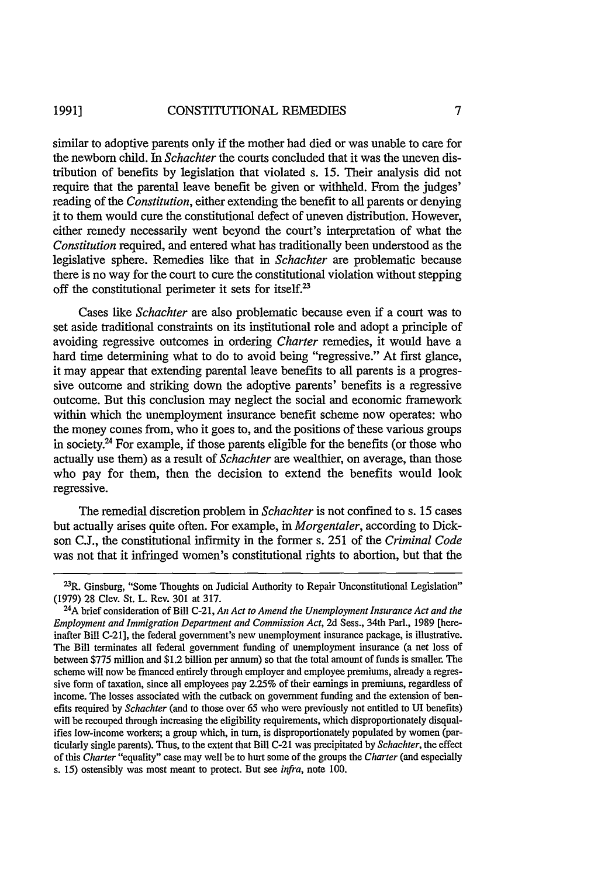#### CONSTITUTIONAL REMEDIES **1991]**

similar to adoptive parents only if the mother had died or was unable to care for the newborn child. In *Schachter* the courts concluded that it was the uneven distribution of benefits by legislation that violated s. 15. Their analysis did not require that the parental leave benefit be given or withheld. From the judges' reading of the *Constitution,* either extending the benefit to all parents or denying it to them would cure the constitutional defect of uneven distribution. However, either remedy necessarily went beyond the court's interpretation of what the *Constitution* required, and entered what has traditionally been understood as the legislative sphere. Remedies like that in *Schachter* are problematic because there is no way for the court to cure the constitutional violation without stepping off the constitutional perimeter it sets for itself.<sup>23</sup>

Cases like *Schachter* are also problematic because even if a court was to set aside traditional constraints on its institutional role and adopt a principle of avoiding regressive outcomes in ordering *Charter* remedies, it would have a hard time determining what to do to avoid being "regressive." At first glance, it may appear that extending parental leave benefits to all parents is a progressive outcome and striking down the adoptive parents' benefits is a regressive outcome. But this conclusion may neglect the social and economic framework within which the unemployment insurance benefit scheme now operates: who the money comes from, who it goes to, and the positions of these various groups in society.24 For example, if those parents eligible for the benefits (or those who actually use them) as a result of *Schachter* are wealthier, on average, than those who pay for them, then the decision to extend the benefits would look regressive.

The remedial discretion problem in *Schachter* is not confined to s. 15 cases but actually arises quite often. For example, in *Morgentaler,* according to Dickson **C.J.,** the constitutional infirmity in the former s. 251 of the *Criminal Code* was not that it infringed women's constitutional rights to abortion, but that the

<sup>&</sup>lt;sup>23</sup>R. Ginsburg, "Some Thoughts on Judicial Authority to Repair Unconstitutional Legislation" (1979) 28 Clev. St. L. Rev. 301 at 317.

A brief consideration of Bill C-21, *An Act to Amend the Unemployment Insurance Act and the Employment and Immigration Department and Commission Act,* 2d Sess., 34th Parl., 1989 [hereinafter Bill C-21], the federal government's new unemployment insurance package, is illustrative. The Bill terminates all federal government funding of unemployment insurance (a net loss of between \$775 million and \$1.2 billion per annum) so that the total amount of funds is smaller. The scheme will now be financed entirely through employer and employee premiums, already a regressive form of taxation, since all employees pay 2.25% of their earnings in premiums, regardless of income. The losses associated with the cutback on government funding and the extension of benefits required by *Schachter* (and to those over 65 who were previously not entitled to UT benefits) will be recouped through increasing the eligibility requirements, which disproportionately disqualifies low-income workers; a group which, in turn, is disproportionately populated by women (particularly single parents). Thus, to the extent that Bill C-21 was precipitated by *Schachter,* the effect of this *Charter* "equality" case may well be to hurt some of the groups the *Charter* (and especially s. 15) ostensibly was most meant to protect. But see *infra,* note 100.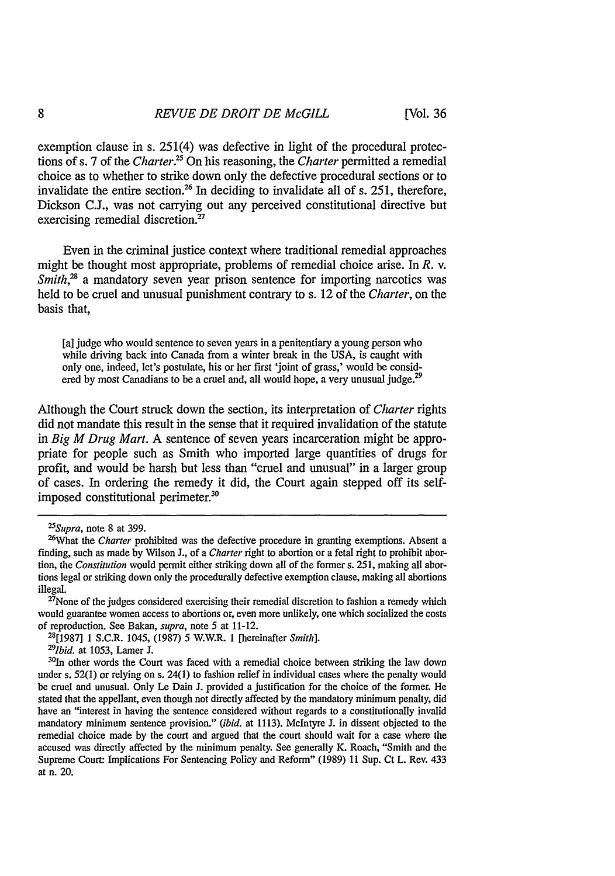exemption clause in s. 251(4) was defective in light of the procedural protections of s. 7 of the *Charter*.<sup>25</sup> On his reasoning, the *Charter* permitted a remedial choice as to whether to strike down only the defective procedural sections or to invalidate the entire section.<sup>26</sup> In deciding to invalidate all of s. 251, therefore, Dickson **C.J.,** was not carrying out any perceived constitutional directive but exercising remedial discretion.<sup>27</sup>

Even in the criminal justice context where traditional remedial approaches might be thought most appropriate, problems of remedial choice arise. In *R.* v. *Smith*<sup>28</sup> a mandatory seven year prison sentence for importing narcotics was held to be cruel and unusual punishment contrary to s. 12 of the *Charter,* on the basis that,

[a] judge who would sentence to seven years in a penitentiary a young person who while driving back into Canada from a winter break in the USA, is caught with only one, indeed, let's postulate, his or her first 'joint of grass,' would be considered by most Canadians to be a cruel and, all would hope, a very unusual judge.<sup>29</sup>

Although the Court struck down the section, its interpretation of *Charter* rights did not mandate this result in the sense that it required invalidation of the statute in *Big M Drug Mart.* A sentence of seven years incarceration might be appropriate for people such as Smith who imported large quantities of drugs for profit, and would be harsh but less than "cruel and unusual" in a larger group of cases. In ordering the remedy it did, the Court again stepped off its selfimposed constitutional perimeter.<sup>30</sup>

 $^{27}$ None of the judges considered exercising their remedial discretion to fashion a remedy which would guarantee women access to abortions or, even more unlikely, one which socialized the costs of reproduction. See Bakan, *supra*, note 5 at 11-12.<br><sup>28</sup>[1987] 1 S.C.R. 1045, (1987) 5 W.W.R. 1 [hereinafter *Smith*].

<sup>29</sup>*Ibid.* at 1053, Lamer J.<br><sup>30</sup>In other words the Court was faced with a remedial choice between striking the law down under s. 52(1) or relying on s. 24(1) to fashion relief in individual cases where the penalty would be cruel and unusual. Only Le Dain **J.** provided a justification for the choice of the former. He stated that the appellant, even though not directly affected by the mandatory minimum penalty, did have an "interest in having the sentence considered without regards to a constitutionally invalid mandatory minimum sentence provision." *(ibid.* at 1113). McIntyre **J.** in dissent objected to the remedial choice made by the court and argued that the court should wait for a case where the accused was directly affected by the minimum penalty. See generally K. Roach, "Smith and the Supreme Court: Implications For Sentencing Policy and Reform" (1989) 11 Sup. Ct L. Rev. 433 at n. 20.

*<sup>&</sup>lt;sup>25</sup>Supra*, note 8 at 399.

<sup>&</sup>lt;sup>26</sup>What the *Charter* prohibited was the defective procedure in granting exemptions. Absent a finding, such as made by Wilson J., of a *Charter* right to abortion or a fetal right to prohibit abortion, the *Constitution* would permit either striking down all of the former s. 251, making all abortions legal or striking down only the procedurally defective exemption clause, making all abortions illegal.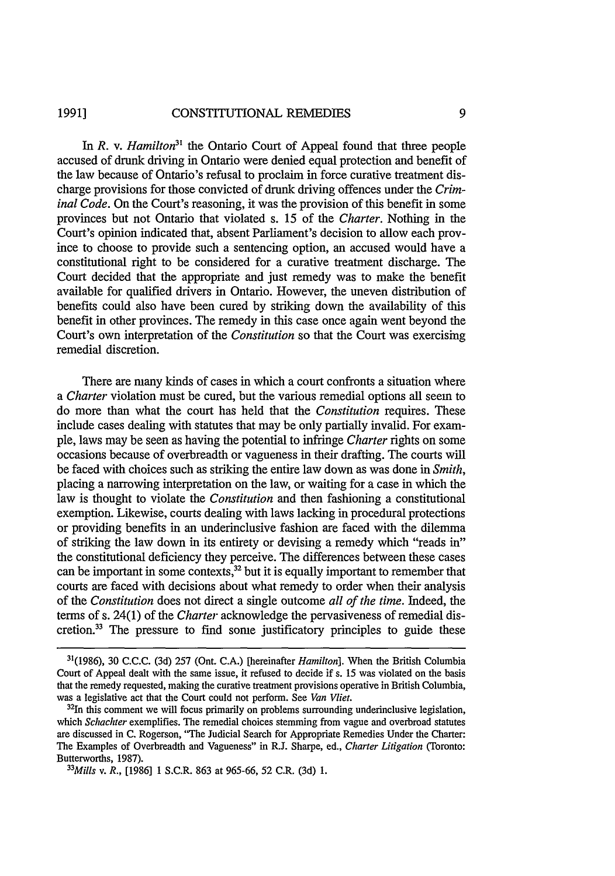#### CONSTITUTIONAL REMEDIES **1991]**

In *R. v. Hamilton*<sup>31</sup> the Ontario Court of Appeal found that three people accused of drunk driving in Ontario were denied equal protection and benefit of the law because of Ontario's refusal to proclaim in force curative treatment discharge provisions for those convicted of drunk driving offences under the *Criminal Code.* On the Court's reasoning, it was the provision of this benefit in some provinces but not Ontario that violated s. 15 of the *Charter.* Nothing in the Court's opinion indicated that, absent Parliament's decision to allow each province to choose to provide such a sentencing option, an accused would have a constitutional right to be considered for a curative treatment discharge. The Court decided that the appropriate and just remedy was to make the benefit available for qualified drivers in Ontario. However, the uneven distribution of benefits could also have been cured by striking down the availability of this benefit in other provinces. The remedy in this case once again went beyond the Court's own interpretation of the *Constitution* so that the Court was exercising remedial discretion.

There are many kinds of cases in which a court confronts a situation where *a Charter* violation must be cured, but the various remedial options all seem to do more than what the court has held that the *Constitution* requires. These include cases dealing with statutes that may be only partially invalid. For example, laws may be seen as having the potential to infringe *Charter* rights on some occasions because of overbreadth or vagueness in their drafting. The courts will be faced with choices such as striking the entire law down as was done in *Smith,* placing a narrowing interpretation on the law, or waiting for a case in which the law is thought to violate the *Constitution* and then fashioning a constitutional exemption. Likewise, courts dealing with laws lacking in procedural protections or providing benefits in an underinclusive fashion are faced with the dilemma of striking the law down in its entirety or devising a remedy which "reads in" the constitutional deficiency they perceive. The differences between these cases can be important in some contexts, $32$  but it is equally important to remember that courts are faced with decisions about what remedy to order when their analysis of the *Constitution* does not direct a single outcome *all of the time.* Indeed, the terms of s. 24(1) of the *Charter* acknowledge the pervasiveness of remedial discretion.3 The pressure to find some justificatory principles to guide these

<sup>31(1986), 30</sup> C.C.C. (3d) 257 (Ont. C.A.) [hereinafter *Hamilton].* When the British Columbia Court of Appeal dealt with the same issue, it refused to decide if s. 15 was violated on the basis that the remedy requested, making the curative treatment provisions operative in British Columbia, was a legislative act that the Court could not perform. See *Van Vliet*.

 $32$ In this comment we will focus primarily on problems surrounding underinclusive legislation, which *Schachter* exemplifies. The remedial choices stemming from vague and overbroad statutes are discussed in C. Rogerson, "The Judicial Search for Appropriate Remedies Under the Charter: The Examples of Overbreadth and Vagueness" in RJ. Sharpe, ed., *Charter Litigation* (Toronto: Butterworths, 1987).

*Mills v. R.,* [1986] 1 S.C.R. 863 at 965-66, 52 C.R. (3d) 1.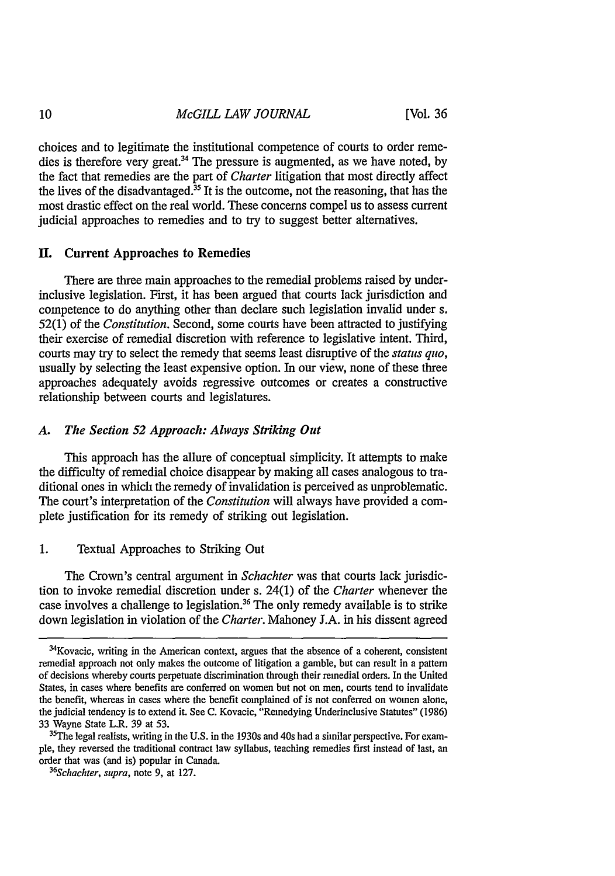choices and to legitimate the institutional competence of courts to order remedies is therefore very great.<sup>34</sup> The pressure is augmented, as we have noted, by the fact that remedies are the part of *Charter* litigation that most directly affect the lives of the disadvantaged.<sup>35</sup> It is the outcome, not the reasoning, that has the most drastic effect on the real world. These concerns compel us to assess current judicial approaches to remedies and to try to suggest better alternatives.

### **I.** Current Approaches to Remedies

There are three main approaches to the remedial problems raised by underinclusive legislation. First, it has been argued that courts lack jurisdiction and competence to do anything other than declare such legislation invalid under s. 52(1) of the *Constitution.* Second, some courts have been attracted to justifying their exercise of remedial discretion with reference to legislative intent. Third, courts may try to select the remedy that seems least disruptive of the *status quo,* usually by selecting the least expensive option. In our view, none of these three approaches adequately avoids regressive outcomes or creates a constructive relationship between courts and legislatures.

#### *A. The Section 52 Approach: Always Striking Out*

This approach has the allure of conceptual simplicity. It attempts to make the difficulty of remedial choice disappear by making all cases analogous to traditional ones in which the remedy of invalidation is perceived as unproblematic. The court's interpretation of the *Constitution* will always have provided a complete justification for its remedy of striking out legislation.

### 1. Textual Approaches to Striking Out

The Crown's central argument in *Schachter* was that courts lack jurisdiction to invoke remedial discretion under s. 24(1) of the *Charter* whenever the case involves a challenge to legislation.<sup>36</sup> The only remedy available is to strike down legislation in violation of the *Charter.* Mahoney J.A. in his dissent agreed

<sup>34</sup> Kovacic, writing in the American context, argues that the absence of a coherent, consistent remedial approach not only makes the outcome of litigation a gamble, but can result in a pattern of decisions whereby courts perpetuate discrimination through their remedial orders. In the United States, in cases where benefits are conferred on women but not on men, courts tend to invalidate the benefit, whereas in cases where the benefit complained of is not conferred on women alone, the judicial tendency is to extend it. See C. Kovacic, "Remedying Underinclusive Statutes" (1986) 33 Wayne State L.R. 39 at 53. 35The legal realists, writing in the **U.S.** in the 1930s and 40s had a similar perspective. For exam-

ple, they reversed the traditional contract law syllabus, teaching remedies first instead of last, an order that was (and is) popular in Canada. *<sup>36</sup>*

*Schachter, supra,* note 9, at 127.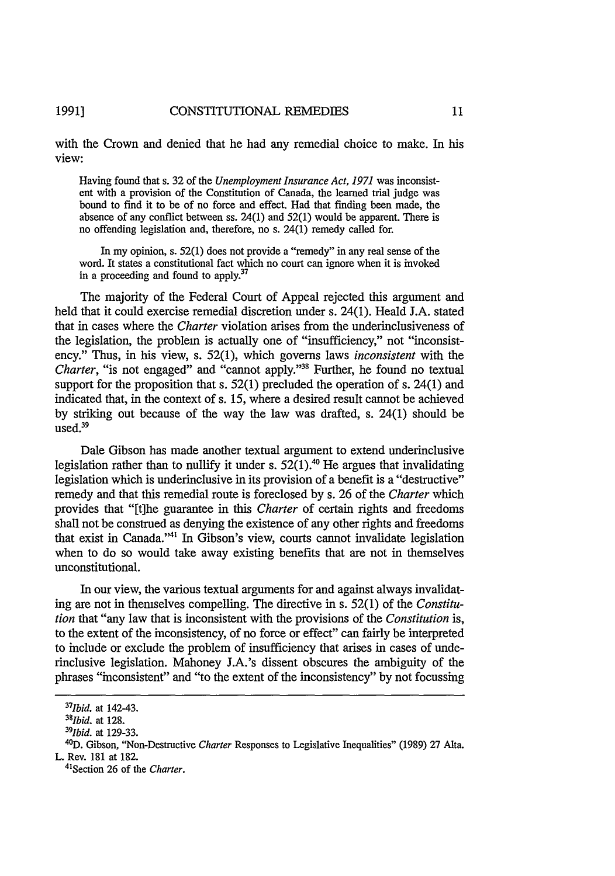with the Crown and denied that he had any remedial choice to make. In his view:

Having found that s. 32 of the *Unemployment Insurance Act, 1971* was inconsistent with a provision of the Constitution of Canada, the learned trial judge was bound to find it to be of no force and effect. Had that finding been made, the absence of any conflict between ss. 24(1) and 52(1) would be apparent. There is no offending legislation and, therefore, no s. 24(1) remedy called for.

In my opinion, s. 52(1) does not provide a "remedy" in any real sense of the word. It states a constitutional fact which no court can ignore when it is invoked in a proceeding and found to apply.<sup>37</sup>

The majority of the Federal Court of Appeal rejected this argument and held that it could exercise remedial discretion under s. 24(1). Heald J.A. stated that in cases where the *Charter* violation arises from the underinclusiveness of the legislation, the problem is actually one of "insufficiency," not "inconsistency." Thus, in his view, s. 52(1), which governs laws *inconsistent* with the *Charter,* "is not engaged" and "cannot apply."<sup>38</sup> Further, he found no textual support for the proposition that s. 52(1) precluded the operation of s. 24(1) and indicated that, in the context of s. 15, where a desired result cannot be achieved by striking out because of the way the law was drafted, s. 24(1) should be used.<sup>39</sup>

Dale Gibson has made another textual argument to extend underinclusive legislation rather than to nullify it under s.  $52(1).$ <sup>40</sup> He argues that invalidating legislation which is underinclusive in its provision of a benefit is a "destructive" remedy and that this remedial route is foreclosed by s. 26 of the *Charter* which provides that "[t]he guarantee in this *Charter* of certain rights and freedoms shall not be construed as denying the existence of any other rights and freedoms that exist in Canada."<sup>41</sup> In Gibson's view, courts cannot invalidate legislation when to do so would take away existing benefits that are not in themselves unconstitutional.

In our view, the various textual arguments for and against always invalidating are not in themselves compelling. The directive in s. 52(1) of the *Constitution* that "any law that is inconsistent with the provisions of the *Constitution* is, to the extent of the inconsistency, of no force or effect" can fairly be interpreted to include or exclude the problem of insufficiency that arises in cases of underinclusive legislation. Mahoney J.A.'s dissent obscures the ambiguity of the phrases "inconsistent" and "to the extent of the inconsistency" by not focussing

*<sup>37</sup>Ibid.* at 142-43. *<sup>38</sup>*

*<sup>1</sup>bid.* at 128. *<sup>39</sup>*

*<sup>1</sup>bid.* at 129-33.

<sup>4</sup> 0D. Gibson, "Non-Destructive *Charter* Responses to Legislative Inequalities" (1989) 27 Alta.

L. Rev. 181 at 182. 4'Section 26 of the *Charter.*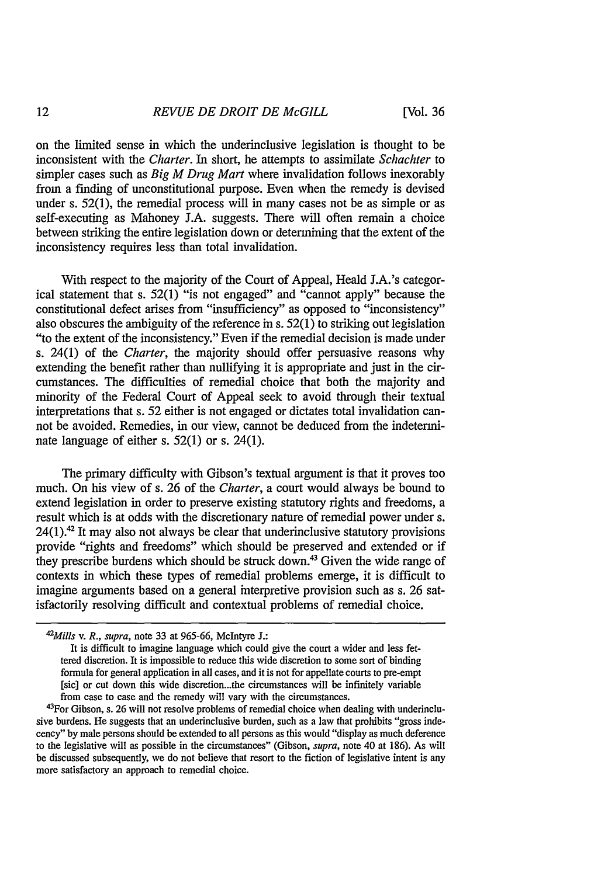on the limited sense in which the underinclusive legislation is thought to be inconsistent with the *Charter.* In short, he attempts to assimilate *Schachter* to simpler cases such as *Big M Drug Mart* where invalidation follows inexorably from a finding of unconstitutional purpose. Even when the remedy is devised under s. 52(1), the remedial process will in many cases not be as simple or as self-executing as Mahoney J.A. suggests. There will often remain a choice between striking the entire legislation down or determining that the extent of the inconsistency requires less than total invalidation.

With respect to the majority of the Court of Appeal, Heald J.A.'s categorical statement that s. 52(1) "is not engaged" and "cannot apply" because the constitutional defect arises from "insufficiency" as opposed to "inconsistency" also obscures the ambiguity of the reference in s. 52(1) to striking out legislation "to the extent of the inconsistency." Even if the remedial decision is made under s. 24(1) of the *Charter,* the majority should offer persuasive reasons why extending the benefit rather than nullifying it is appropriate and just in the circumstances. The difficulties of remedial choice that both the majority and minority of the Federal Court of Appeal seek to avoid through their textual interpretations that s. 52 either is not engaged or dictates total invalidation cannot be avoided. Remedies, in our view, cannot be deduced from the indeterminate language of either s. 52(1) or s. 24(1).

The primary difficulty with Gibson's textual argument is that it proves too much. On his view of s. 26 of the *Charter,* a court would always be bound to extend legislation in order to preserve existing statutory rights and freedoms, a result which is at odds with the discretionary nature of remedial power under s.  $24(1).42$  It may also not always be clear that underinclusive statutory provisions provide "rights and freedoms" which should be preserved and extended or if they prescribe burdens which should be struck down.<sup>43</sup> Given the wide range of contexts in which these types of remedial problems emerge, it is difficult to imagine arguments based on a general interpretive provision such as s. 26 satisfactorily resolving difficult and contextual problems of remedial choice.

*<sup>42</sup> Mills v. R., supra,* note 33 at 965-66, McIntyre **J.:**

It is difficult to imagine language which could give the court a wider and less fettered discretion. It is impossible to reduce this wide discretion to some sort of binding formula for general application in all cases, and it is not for appellate courts to pre-empt [sic] or cut down this wide discretion...the circumstances will be infinitely variable from case to case and the remedy will vary with the circumstances.

<sup>&</sup>lt;sup>43</sup>For Gibson, s. 26 will not resolve problems of remedial choice when dealing with underinclusive burdens. He suggests that an underinclusive burden, such as a law that prohibits "gross indecency" by male persons should be extended to all persons as this would "display as much deference to the legislative will as possible in the circumstances" (Gibson, *supra,* note 40 at 186). As will be discussed subsequently, we do not believe that resort to the fiction of legislative intent is any more satisfactory an approach to remedial choice.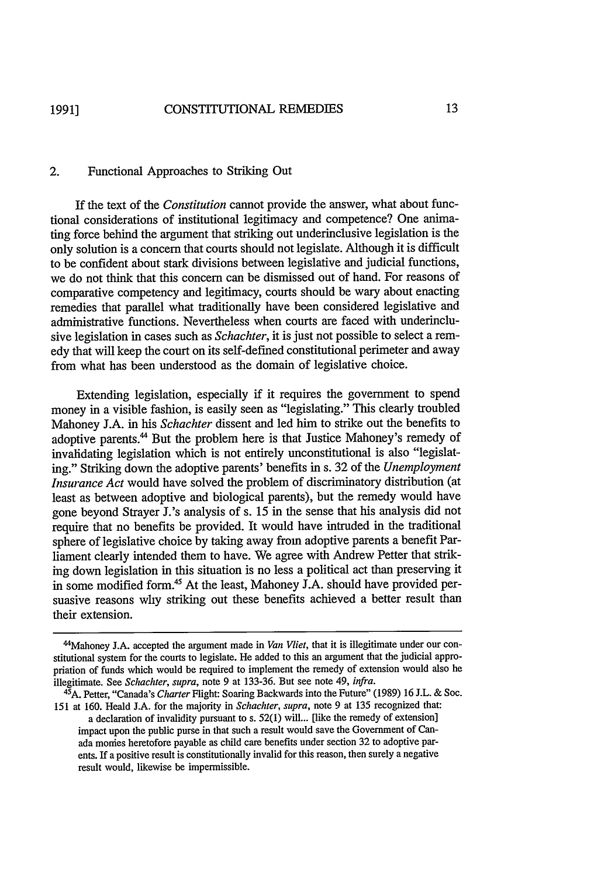### 2. Functional Approaches to Striking Out

If the text of the *Constitution* cannot provide the answer, what about functional considerations of institutional legitimacy and competence? One animating force behind the argument that striking out underinclusive legislation is the only solution is a concern that courts should not legislate. Although it is difficult to be confident about stark divisions between legislative and judicial functions, we do not think that this concern can be dismissed out of hand. For reasons of comparative competency and legitimacy, courts should be wary about enacting remedies that parallel what traditionally have been considered legislative and administrative functions. Nevertheless when courts are faced with underinclusive legislation in cases such as *Schachter,* it is just not possible to select a remedy that will keep the court on its self-defined constitutional perimeter and away from what has been understood as the domain of legislative choice.

Extending legislation, especially if it requires the government to spend money in a visible fashion, is easily seen as "legislating." This clearly troubled Mahoney J.A. in his *Schachter* dissent and led him to strike out the benefits to adoptive parents.<sup>44</sup> But the problem here is that Justice Mahoney's remedy of invalidating legislation which is not entirely unconstitutional is also "legislating." Striking down the adoptive parents' benefits in s. 32 of the *Unemployment Insurance Act* would have solved the problem of discriminatory distribution (at least as between adoptive and biological parents), but the remedy would have gone beyond Strayer J.'s analysis of s. 15 in the sense that his analysis did not require that no benefits be provided. It would have intruded in the traditional sphere of legislative choice by taking away from adoptive parents a benefit Parliament clearly intended them to have. We agree with Andrew Petter that striking down legislation in this situation is no less a political act than preserving it in some modified form.<sup>45</sup> At the least, Mahoney J.A. should have provided persuasive reasons why striking out these benefits achieved a better result than their extension.

<sup>&</sup>lt;sup>44</sup>Mahoney J.A. accepted the argument made in *Van Vliet*, that it is illegitimate under our constitutional system for the courts to legislate. He added to this an argument that the judicial appropriation of funds which would be required to implement the remedy of extension would also be illegitimate. See *Schachter, supra,* note 9 at 133-36. But see note 49, *infra.* <sup>45</sup>

A. Petter, "Canada's *Charter* Right: Soaring Backwards into the Future" (1989) 16 J.L. & Soc. 151 at 160. Heald l.A. for the majority in *Schachter, supra,* note 9 at 135 recognized that:

a declaration of invalidity pursuant to s. 52(1) will... [like the remedy of extension] impact upon the public purse in that such a result would save the Government of Canada monies heretofore payable as child care benefits under section 32 to adoptive parents. If a positive result is constitutionally invalid for this reason, then surely a negative result would, likewise be impermissible.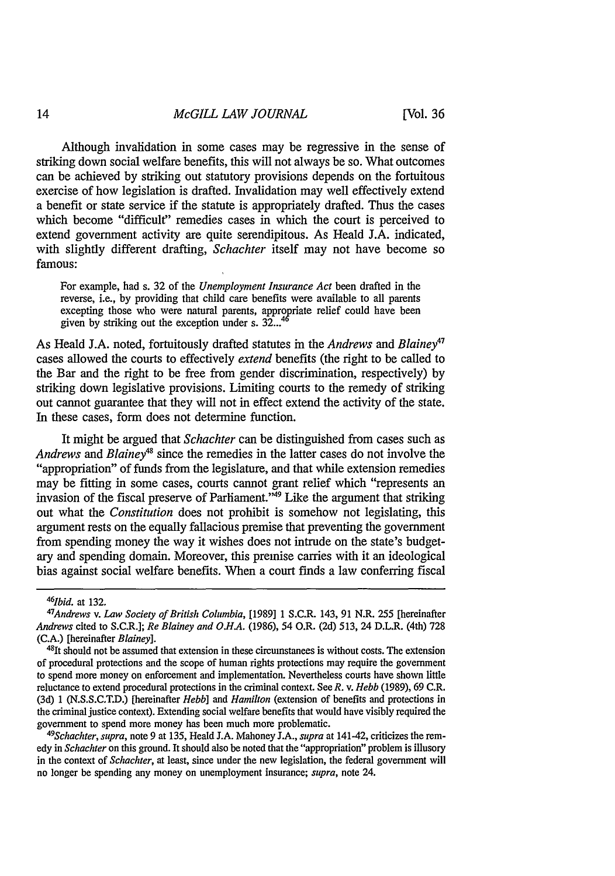Although invalidation in some cases may be regressive in the sense of striking down social welfare benefits, this will not always be so. What outcomes can be achieved by striking out statutory provisions depends on the fortuitous exercise of how legislation is drafted. Invalidation may well effectively extend a benefit or state service if the statute is appropriately drafted. Thus the cases which become "difficult" remedies cases in which the court is perceived to extend government activity are quite serendipitous. As Heald J.A. indicated, with slightly different drafting, *Schachter* itself may not have become so famous:

For example, had s. 32 of the *Unemployment Insurance Act* been drafted in the reverse, i.e., by providing that child care benefits were available to all parents excepting those who were natural parents, appropriate relief could have been given by striking out the exception under s. **32...**

As Heald J.A. noted, fortuitously drafted statutes in the *Andrews and Blainey"* cases allowed the courts to effectively *extend* benefits (the right to be called to the Bar and the right to be free from gender discrimination, respectively) by striking down legislative provisions. Limiting courts to the remedy of striking out cannot guarantee that they will not in effect extend the activity of the state. In these cases, form does not determine function.

It might be argued that *Schachter* can be distinguished from cases such as *Andrews and Blainey4 <sup>s</sup>*since the remedies in the latter cases do not involve the "appropriation" of funds from the legislature, and that while extension remedies may be fitting in some cases, courts cannot grant relief which "represents an invasion of the fiscal preserve of Parliament."49 Like the argument that striking out what the *Constitution* does not prohibit is somehow not legislating, this argument rests on the equally fallacious premise that preventing the government from spending money the way it wishes does not intrude on the state's budgetary and spending domain. Moreover, this premise carries with it an ideological bias against social welfare benefits. When a court finds a law conferring fiscal

*Schachter, supra,* note 9 at 135, Heald J.A. Mahoney J.A., *supra* at 141-42, criticizes the remedy in *Schachter* on this ground. It should also be noted that the "appropriation" problem is illusory in the context of *Schachter,* at least, since under the new legislation, the federal government will no longer be spending any money on unemployment insurance; *supra,* note 24.

*<sup>46</sup>Ibid.* at 132.

*<sup>47</sup> Andrews v. Law Society of British Columbia,* [1989] 1 S.C.R. 143, 91 N.R. 255 [hereinafter *Andrews* cited to S.C.R.J; *Re Blainey and O.H.A.* (1986), 54 O.R. (2d) 513, 24 D.L.R. (4th) 728 (C.A.) [hereinafter *Blainey*].

 $48$ It should not be assumed that extension in these circumstanees is without costs. The extension of procedural protections and the scope of human rights protections may require the government to spend more money on enforcement and implementation. Nevertheless courts have shown little reluctance to extend procedural protections in the criminal context. See *R.* v. *Hebb* (1989), 69 C.R. (3d) 1 (N.S.S.C.T.D.) [hereinafter *Hebb] and Hamilton* (extension of benefits and protections in the criminal justice context). Extending social welfare benefits that would have visibly required the government to spend more money has been much more problematic. *<sup>49</sup>*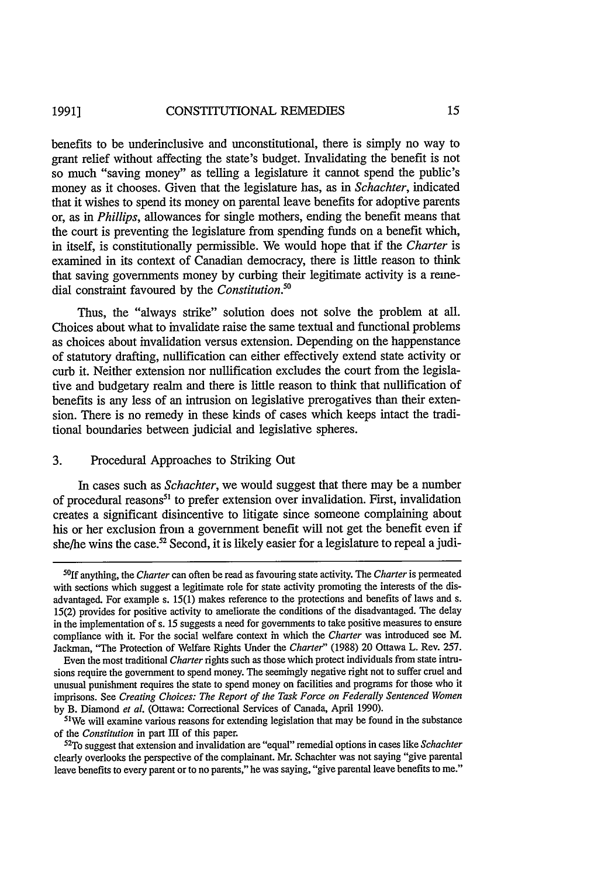benefits to be underinclusive and unconstitutional, there is simply no way to grant relief without affecting the state's budget. Invalidating the benefit is not so much "saving money" as telling a legislature it cannot spend the public's money as it chooses. Given that the legislature has, as in *Schachter,* indicated that it wishes to spend its money on parental leave benefits for adoptive parents or, as in *Phillips,* allowances for single mothers, ending the benefit means that the court is preventing the legislature from spending funds on a benefit which, in itself, is constitutionally permissible. We would hope that if the *Charter* is examined in its context of Canadian democracy, there is little reason to think that saving governments money by curbing their legitimate activity is a remedial constraint favoured by the *Constitution."0*

Thus, the "always strike" solution does not solve the problem at all. Choices about what to invalidate raise the same textual and functional problems as choices about invalidation versus extension. Depending on the happenstance of statutory drafting, nullification can either effectively extend state activity or curb it. Neither extension nor nullification excludes the court from the legislative and budgetary realm and there is little reason to think that nullification of benefits is any less of an intrusion on legislative prerogatives than their extension. There is no remedy in these kinds of cases which keeps intact the traditional boundaries between judicial and legislative spheres.

#### 3. Procedural Approaches to Striking Out

In cases such as *Schachter,* we would suggest that there may be a number of procedural reasons<sup>51</sup> to prefer extension over invalidation. First, invalidation creates a significant disincentive to litigate since someone complaining about his or her exclusion from a government benefit will not get the benefit even if she/he wins the case.<sup>52</sup> Second, it is likely easier for a legislature to repeal a judi-

We will examine various reasons for extending legislation that may be found in the substance of the *Constitution* in part III of this paper.

**<sup>50</sup> 1f** anything, the *Charter* can often be read as favouring state activity. The *Charter* is permeated with sections which suggest a legitimate role for state activity promoting the interests of the disadvantaged. For example s. 15(1) makes reference to the protections and benefits of laws and s. 15(2) provides for positive activity to ameliorate the conditions of the disadvantaged. The delay in the implementation of s. 15 suggests a need for governments to take positive measures to ensure compliance with it. For the social welfare context in which the *Charter* was introduced see M. Jackman, "The Protection of Welfare Rights Under the *Charter"* (1988) 20 Ottawa L. Rev. 257.

Even the most traditional *Charter* rights such as those which protect individuals from state intrusions require the government to spend money. The seemingly negative right not to suffer cruel and unusual punishment requires the state to spend money on facilities and programs for those who it imprisons. See *Creating Choices: The Report of the Task Force on Federally Sentenced Women* by B. Diamond et al. (Ottawa: Correctional Services of Canada, April 1990).

To suggest that extension and invalidation are "equal" remedial options in cases like *Schachter* clearly overlooks the perspective of the complainant. Mr. Schachter was not saying "give parental leave benefits to every parent or to no parents," he was saying, "give parental leave benefits to me."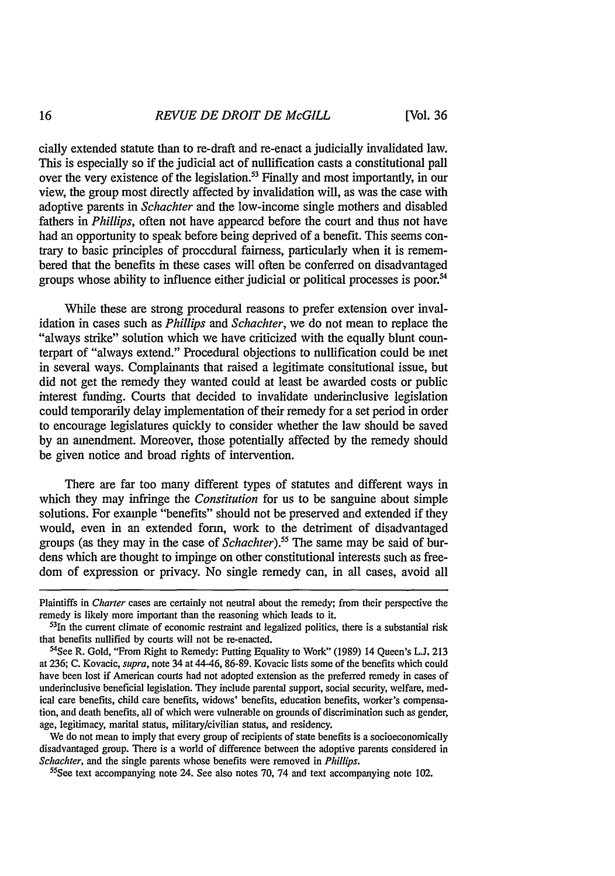cially extended statute than to re-draft and re-enact a judicially invalidated law. This is especially so if the judicial act of nullification casts a constitutional pall over the very existence of the legislation.<sup>53</sup> Finally and most importantly, in our view, the group most directly affected by invalidation will, as was the case with adoptive parents in *Schachter* and the low-income single mothers and disabled fathers in *Phillips,* often not have appeared before the court and thus not have had an opportunity to speak before being deprived of a benefit. This seems contrary to basic principles of procedural fairness, particularly when it is remembered that the benefits in these cases will often be conferred on disadvantaged groups whose ability to influence either judicial or political processes is poor.<sup>54</sup>

While these are strong procedural reasons to prefer extension over invalidation in cases such as *Phillips and Schachter,* we do not mean to replace the "always strike" solution which we have criticized with the equally blunt counterpart of "always extend." Procedural objections to nullification could be met in several ways. Complainants that raised a legitimate consitutional issue, but did not get the remedy they wanted could at least be awarded costs or public interest funding. Courts that decided to invalidate underinclusive legislation could temporarily delay implementation of their remedy for a set period in order to encourage legislatures quickly to consider whether the law should be saved by an amendment. Moreover, those potentially affected by the remedy should be given notice and broad rights of intervention.

There are far too many different types of statutes and different ways in which they may infringe the *Constitution* for us to be sanguine about simple solutions. For example "benefits" should not be preserved and extended if they would, even in an extended form, work to the detriment of disadvantaged groups (as they may in the case of *Schachter*).<sup>55</sup> The same may be said of burdens which are thought to impinge on other constitutional interests such as freedom of expression or privacy. No single remedy can, in all cases, avoid all

We do not mean to imply that every group of recipients of state benefits is a socioeconomically disadvantaged group. There is a world of difference between the adoptive parents considered in *Schachter,* and the single parents whose benefits were removed in *Phillips.*

55See text accompanying note 24. See also notes 70, 74 and text accompanying note 102.

Plaintiffs in *Charter* cases are certainly not neutral about the remedy; from their perspective the remedy is likely more important than the reasoning which leads to it.

 $53$ In the current climate of economic restraint and legalized politics, there is a substantial risk that benefits nullified by courts will not be re-enacted.

<sup>54</sup>See R. Gold, "From Right to Remedy: Putting Equality to Work" (1989) 14 Queen's L.J. 213 at 236; C. Kovacic, *supra,* note 34 at 44-46, 86-89. Kovacic lists some of the benefits which could have been lost if American courts had not adopted extension as the preferred remedy in cases of underinclusive beneficial legislation. They include parental support, social security, welfare, medical care benefits, child care benefits, widows' benefits, education benefits, worker's compensation, and death benefits, all of which were vulnerable on grounds of discrimination such as gender, age, legitimacy, marital status, military/civilian status, and residency.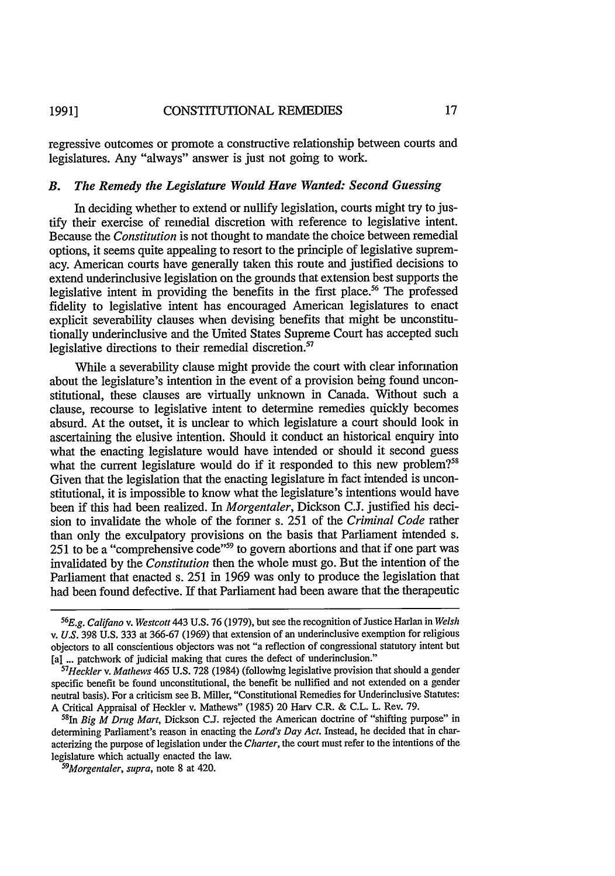regressive outcomes or promote a constructive relationship between courts and legislatures. Any "always" answer is just not going to work.

#### *B. The Remedy the Legislature Would Have Wanted: Second Guessing*

In deciding whether to extend or nullify legislation, courts might try to justify their exercise of remedial discretion with reference to legislative intent. Because the *Constitution* is not thought to mandate the choice between remedial options, it seems quite appealing to resort to the principle of legislative supremacy. American courts have generally taken this route and justified decisions to extend underinclusive legislation on the grounds that extension best supports the legislative intent in providing the benefits in the first place.<sup>56</sup> The professed fidelity to legislative intent has encouraged American legislatures to enact explicit severability clauses when devising benefits that might be unconstitutionally underinclusive and the United States Supreme Court has accepted such legislative directions to their remedial discretion.<sup>57</sup>

While a severability clause might provide the court with clear information about the legislature's intention in the event of a provision being found unconstitutional, these clauses are virtually unknown in Canada. Without such a clause, recourse to legislative intent to determine remedies quickly becomes absurd. At the outset, it is unclear to which legislature a court should look in ascertaining the elusive intention. Should it conduct an historical enquiry into what the enacting legislature would have intended or should it second guess what the current legislature would do if it responded to this new problem?<sup>55</sup> Given that the legislation that the enacting legislature in fact intended is unconstitutional, it is impossible to know what the legislature's intentions would have been if this had been realized. In *Morgentaler,* Dickson C.J. justified his decision to invalidate the whole of the former s. 251 of the *Criminal Code* rather than only the exculpatory provisions on the basis that Parliament intended s. 251 to be a "comprehensive code"<sup>59</sup> to govern abortions and that if one part was invalidated by the *Constitution* then the whole must go. But the intention of the Parliament that enacted s. 251 in 1969 was only to produce the legislation that had been found defective. If that Parliament had been aware that the therapeutic

*<sup>56</sup> E.g. Califano v. Westcott* 443 U.S. 76 (1979), but see the recognition of Justice Harlan in *Welsh v. U.S.* 398 U.S. 333 at 366-67 (1969) that extension of an underinclusive exemption for religious objectors to all conscientious objectors was not "a reflection of congressional statutory intent but [a] ... patchwork of judicial making that cures the defect of underinclusion."

<sup>&</sup>lt;sup>57</sup>Heckler v. Mathews 465 U.S. 728 (1984) (following legislative provision that should a gender specific benefit be found unconstitutional, the benefit be nullified and not extended on a gender neutral basis). For a criticism see B. Miller, "Constitutional Remedies for Underinclusive Statutes: A Critical Appraisal of Heckler v. Mathews" (1985) 20 Harv C.R. & C.L. L. Rev. 79.

<sup>581</sup>n *Big M Drug Mart,* Dickson C.J. rejected the American doctrine of "shifting purpose" in determining Parliament's reason in enacting the *Lord's Day Act.* Instead, he decided that in characterizing the purpose of legislation under the *Charter,* the court must refer to the intentions of the legislature which actually enacted the law.

*Morgentaler, supra,* note 8 at 420.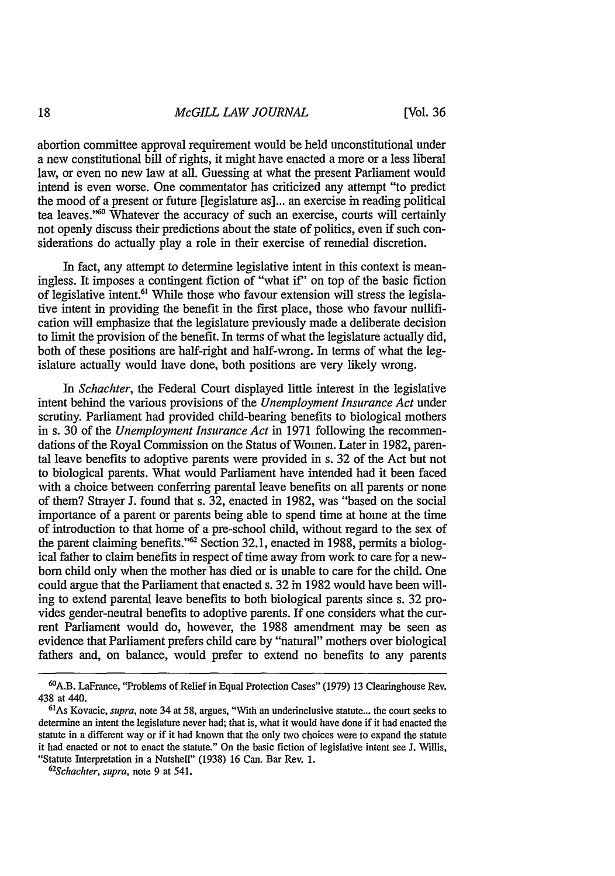[Vol. **36**

abortion committee approval requirement would be held unconstitutional under a new constitutional bill of rights, it might have enacted a more or a less liberal law, or even no new law at all. Guessing at what the present Parliament would intend is even worse. One commentator has criticized any attempt "to predict the mood of a present or future [legislature as]... an exercise in reading political tea leaves."<sup>60</sup> Whatever the accuracy of such an exercise, courts will certainly not openly discuss their predictions about the state of politics, even if such considerations do actually play a role in their exercise of remedial discretion.

In fact, any attempt to determine legislative intent in this context is meaningless. It imposes a contingent fiction of "what if' on top of the basic fiction of legislative intent.6' While those who favour extension will stress the legislative intent in providing the benefit in the first place, those who favour nullification will emphasize that the legislature previously made a deliberate decision to limit the provision of the benefit. In terms of what the legislature actually did, both of these positions are half-right and half-wrong. In terms of what the legislature actually would have done, both positions are very likely wrong.

*In Schachter,* the Federal Court displayed little interest in the legislative intent behind the various provisions of the *Unemployment Insurance Act* under scrutiny. Parliament had provided child-bearing benefits to biological mothers in s. 30 of the *Unemployment Insurance Act* in 1971 following the recommendations of the Royal Commission on the Status of Women. Later in 1982, parental leave benefits to adoptive parents were provided in s. 32 of the Act but not to biological parents. What would Parliament have intended had it been faced with a choice between conferring parental leave benefits on all parents or none of them? Strayer J. found that s. 32, enacted in 1982, was "based on the social importance of a parent or parents being able to spend time at home at the time of introduction to that home of a pre-school child, without regard to the sex of the parent claiming benefits."<sup>62</sup> Section 32.1, enacted in 1988, permits a biological father to claim benefits in respect of time away from work to care for a newborn child only when the mother has died or is unable to care for the child. One could argue that the Parliament that enacted s. 32 in 1982 would have been willing to extend parental leave benefits to both biological parents since s. 32 provides gender-neutral benefits to adoptive parents. If one considers what the current Parliament would do, however, the 1988 amendment may be seen as evidence that Parliament prefers child care by "natural" mothers over biological fathers and, on balance, would prefer to extend no benefits to any parents

**<sup>60</sup>A.B.** LaFrance, "Problems of Relief in Equal Protection Cases" (1979) 13 Clearinghouse Rev. 438 at 440.

As Kovacic, *supra,* note 34 at 58, argues, "With an underinclusive statute... the court seeks to determine an intent the legislature never had; that is, what it would have done if it had enacted the statute in a different way or if it had known that the only two choices were to expand the statute it had enacted or not to enact the statute." On the basic fiction of legislative intent see J. Willis, "Statute Interpretation in a Nutshell" (1938) 16 Can. Bar Rev. 1.

*<sup>62</sup> Schachter, supra,* note 9 at 541.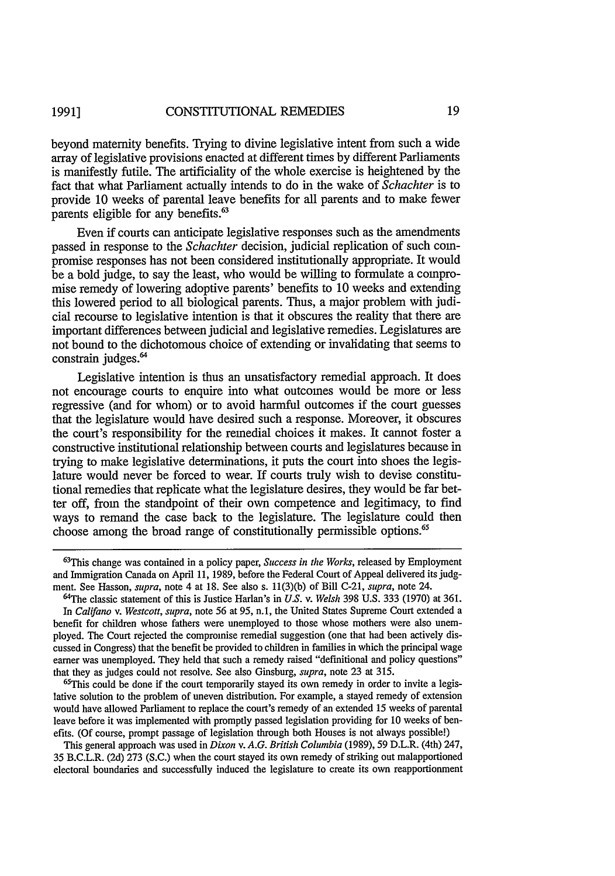beyond maternity benefits. Trying to divine legislative intent from such a wide array of legislative provisions enacted at different times by different Parliaments is manifestly futile. The artificiality of the whole exercise is heightened by the fact that what Parliament actually intends to do in the wake of *Schachter* is to provide 10 weeks of parental leave benefits for all parents and to make fewer parents eligible for any benefits.<sup>63</sup>

Even if courts can anticipate legislative responses such as the amendments passed in response to the *Schachter* decision, judicial replication of such compromise responses has not been considered institutionally appropriate. It would be a bold judge, to say the least, who would be willing to formulate a compromise remedy of lowering adoptive parents' benefits to 10 weeks and extending this lowered period to all biological parents. Thus, a major problem with judicial recourse to legislative intention is that it obscures the reality that there are important differences between judicial and legislative remedies. Legislatures are not bound to the dichotomous choice of extending or invalidating that seems to constrain judges.<sup>64</sup>

Legislative intention is thus an unsatisfactory remedial approach. It does not encourage courts to enquire into what outcomes would be more or less regressive (and for whom) or to avoid harmful outcomes if the court guesses that the legislature would have desired such a response. Moreover, it obscures the court's responsibility for the remedial choices it makes. It cannot foster a constructive institutional relationship between courts and legislatures because in trying to make legislative determinations, it puts the court into shoes the legislature would never be forced to wear. If courts truly wish to devise constitutional remedies that replicate what the legislature desires, they would be far better off, from the standpoint of their own competence and legitimacy, to find ways to remand the case back to the legislature. The legislature could then choose among the broad range of constitutionally permissible options.<sup>65</sup>

 $65$ This could be done if the court temporarily stayed its own remedy in order to invite a legislative solution to the problem of uneven distribution. For example, a stayed remedy of extension would have allowed Parliament to replace the court's remedy of an extended 15 weeks of parental leave before it was implemented with promptly passed legislation providing for 10 weeks of benefits. (Of course, prompt passage of legislation through both Houses is not always possible!)

This general approach was used in *Dixon v. A.G. British Columbia* (1989), 59 D.L.R. (4th) 247, 35 B.C.L.R. (2d) 273 (S.C.) when the court stayed its own remedy of striking out malapportioned electoral boundaries and successfully induced the legislature to create its own reapportionment

<sup>63</sup> This change was contained in a policy paper, *Success in the Works,* released by Employment and Immigration Canada on April 11, 1989, before the Federal Court of Appeal delivered its judgment. See Hasson, *supra,* note 4 at 18. See also s. 11(3)(b) of Bill C-21, *supra,* note 24.

<sup>64</sup>The classic statement of this is Justice Harlan's in *U.S. v. Welsh* 398 U.S. 333 (1970) at 361. In *Califano v. Westcott, supra,* note 56 at 95, n.1, the United States Supreme Court extended a benefit for children whose fathers were unemployed to those whose mothers were also unemployed. The Court rejected the compromise remedial suggestion (one that had been actively discussed in Congress) that the benefit be provided to children in families in which the principal wage earner was unemployed. They held that such a remedy raised "definitional and policy questions" that they as judges could not resolve. See also Ginsburg, *supra*, note 23 at 315.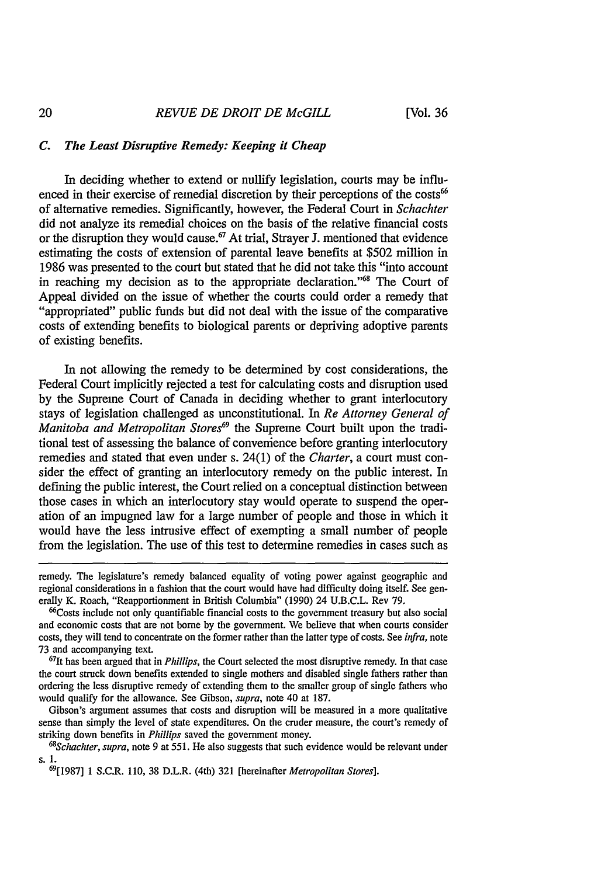# *C. The Least Disruptive Remedy: Keeping it Cheap*

In deciding whether to extend or nullify legislation, courts may be influenced in their exercise of remedial discretion **by** their perceptions of the **costs<sup>66</sup>** of alternative remedies. Significantly, however, the Federal Court in *Schachter* did not analyze its remedial choices on the basis of the relative financial costs or the disruption they would cause.<sup>67</sup> At trial, Strayer J. mentioned that evidence estimating the costs of extension of parental leave benefits at **\$502** million in 1986 was presented to the court but stated that he did not take this "into account in reaching my decision as to the appropriate declaration."68 The Court of Appeal divided on the issue of whether the courts could order a remedy that "appropriated" public funds but did not deal with the issue of the comparative costs of extending benefits to biological parents or depriving adoptive parents of existing benefits.

In not allowing the remedy to be determined by cost considerations, the Federal Court implicitly rejected a test for calculating costs and disruption used by the Supreme Court of Canada in deciding whether to grant interlocutory stays of legislation challenged as unconstitutional. In *Re Attorney General of Manitoba and Metropolitan Stores*<sup>69</sup> the Supreme Court built upon the traditional test of assessing the balance of convenience before granting interlocutory remedies and stated that even under s. 24(1) of the *Charter,* a court must consider the effect of granting an interlocutory remedy on the public interest. In defining the public interest, the Court relied on a conceptual distinction between those cases in which an interlocutory stay would operate to suspend the operation of an impugned law for a large number of people and those in which it would have the less intrusive effect of exempting a small number of people from the legislation. The use of this test to determine remedies in cases such as

<sup>66</sup>Costs include not only quantifiable financial costs to the government treasury but also social and economic costs that are not borne by the government. We believe that when courts consider costs, they will tend to concentrate on the former rather than the latter type of costs. See infra, note 73 and accompanying text.

<sup>67</sup>It has been argued that in *Phillips*, the Court selected the most disruptive remedy. In that case the court struck down benefits extended to single mothers and disabled single fathers rather than ordering the less disruptive remedy of extending them to the smaller group of single fathers who would qualify for the allowance. See Gibson, *supra,* note 40 at 187.

Gibson's argument assumes that costs and disruption will be measured in a more qualitative sense than simply the level of state expenditures. On the cruder measure, the court's remedy of striking down benefits in *Phillips* saved the government money. *<sup>68</sup>*

*Schachter, supra,* note 9 at 551. He also suggests that such evidence would be relevant under **s.** 1.

6911987] 1 S.C.R. 110, 38 D.L.R. (4th) 321 [hereinafter *Metropolitan Stores].*

remedy. The legislature's remedy balanced equality of voting power against geographic and regional considerations in a fashion that the court would have had difficulty doing itself. See generally K. Roach, "Reapportionment in British Columbia" (1990) 24 U.B.C.L. Rev 79.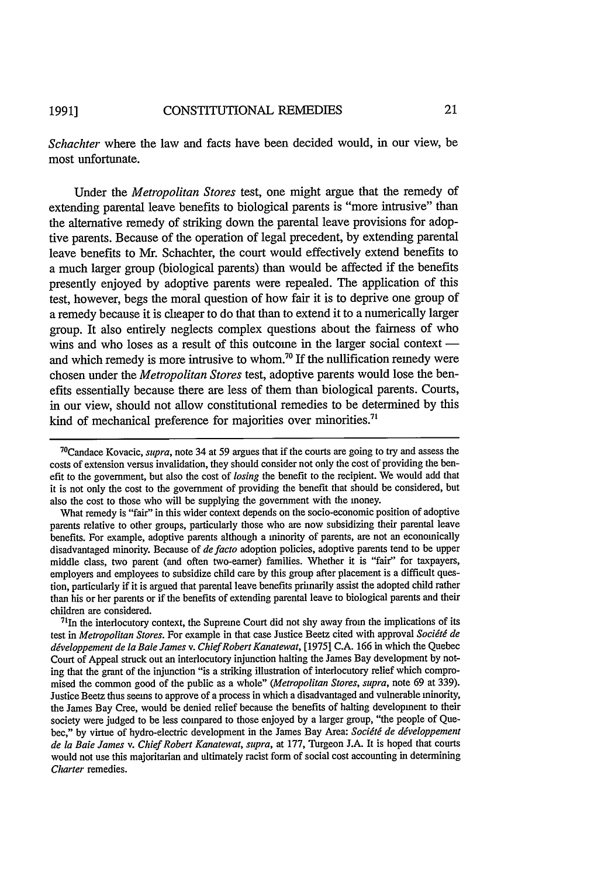*Schachter* where the law and facts have been decided would, in our view, be most unfortunate.

Under the *Metropolitan Stores* test, one might argue that the remedy of extending parental leave benefits to biological parents is "more intrusive" than the alternative remedy of striking down the parental leave provisions for adoptive parents. Because of the operation of legal precedent, by extending parental leave benefits to Mr. Schachter, the court would effectively extend benefits to a much larger group (biological parents) than would be affected if the benefits presently enjoyed by adoptive parents were repealed. The application of this test, however, begs the moral question of how fair it is to deprive one group of a remedy because it is cheaper to do that than to extend it to a numerically larger group. It also entirely neglects complex questions about the fairness of who wins and who loses as a result of this outcome in the larger social context  $$ and which remedy is more intrusive to whom.<sup>70</sup> If the nullification remedy were chosen under the *Metropolitan Stores* test, adoptive parents would lose the benefits essentially because there are less of them than biological parents. Courts, in our view, should not allow constitutional remedies to be determined by this kind of mechanical preference for majorities over minorities.<sup>71</sup>

 $11$ In the interlocutory context, the Supreme Court did not shy away from the implications of its test in *Metropolitan Stores*. For example in that case Justice Beetz cited with approval *Société de* développement de la Baie James v. Chief Robert Kanatewat, [1975] C.A. 166 in which the Quebec Court of Appeal struck out an interlocutory injunction halting the James Bay development by noting that the grant of the injunction "is a striking illustration of interlocutory relief which compromised the common good of the public as a whole" *(Metropolitan Stores, supra,* note 69 at 339). Justice Beetz thus seems to approve of a process in which a disadvantaged and vulnerable minority, the James Bay Cree, would be denied relief because the benefits of halting development to their society were judged to be less compared to those enjoyed by a larger group, "the people of Quebec," by virtue of hydro-electric development in the James Bay Area: *Société de développement de la Baie James v. Chief Robert Kanatewat, supra,* at 177, Turgeon J.A. It is hoped that courts would not use this majoritarian and ultimately racist form of social cost accounting in determining Charter remedies.

<sup>70</sup> Candace Kovacic, *supra,* note 34 at 59 argues that if the courts are going to try and assess the costs of extension versus invalidation, they should consider not only the cost of providing the benefit to the government, but also the cost of *losing* the benefit to the recipient. We would add that it is not only the cost to the government of providing the benefit that should be considered, but also the cost to those who will be supplying the government with the money.

What remedy is "fair" in this wider context depends on the socio-economic position of adoptive parents relative to other groups, particularly those who are now subsidizing their parental leave benefits. For example, adoptive parents although a minority of parents, are not an economically disadvantaged minority. Because of *defacto* adoption policies, adoptive parents tend to be upper middle class, two parent (and often two-earner) families. Whether it is "fair" for taxpayers, employers and employees to subsidize child care by this group after placement is a difficult question, particularly if it is argued that parental leave benefits primarily assist the adopted child rather than his or her parents or if the benefits of extending parental leave to biological parents and their children are considered.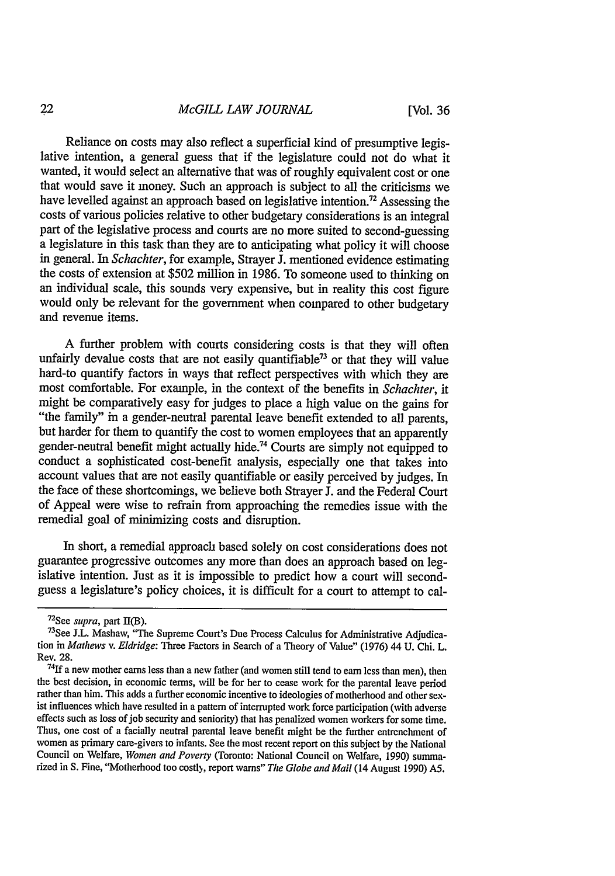Reliance on costs may also reflect a superficial kind of presumptive legislative intention, a general guess that if the legislature could not do what it wanted, it would select an alternative that was of roughly equivalent cost or one that would save it money. Such an approach is subject to all the criticisms we have levelled against an approach based on legislative intention.<sup>72</sup> Assessing the costs of various policies relative to other budgetary considerations is an integral part of the legislative process and courts are no more suited to second-guessing a legislature in this task than they are to anticipating what policy it will choose in general. In *Schachter,* for example, Strayer J. mentioned evidence estimating the costs of extension at \$502 million in 1986. To someone used to thinking on an individual scale, this sounds very expensive, but in reality this cost figure would only be relevant for the government when compared to other budgetary and revenue items.

A further problem with courts considering costs is that they will often unfairly devalue costs that are not easily quantifiable<sup>73</sup> or that they will value hard-to quantify factors in ways that reflect perspectives with which they are most comfortable. For example, in the context of the benefits in *Schachter,* it might be comparatively easy for judges to place a high value on the gains for "the family" in a gender-neutral parental leave benefit extended to all parents,<br>but harder for them to quantify the cost to women employees that an apparently but harder for them to quantify the cost to women employees to gender-neutral benefit might actually hide.<sup>74</sup> Courts are simply not equipped to conduct a sophisticated cost-benefit analysis, especially one that takes into account values that are not easily quantifiable or easily perceived by judges. In the face of these shortcomings, we believe both Strayer **J.** and the Federal Court of Appeal were wise to refrain from approaching the remedies issue with the remedial goal of minimizing costs and disruption.

In short, a remedial approach based solely on cost considerations does not guarantee progressive outcomes any more than does an approach based on legislative intention. Just as it is impossible to predict how a court will secondguess a legislature's policy choices, it is difficult for a court to attempt to cal-

<sup>&</sup>lt;sup>72</sup>See *supra*, part II(B).<br><sup>739</sup>se 77 Meetre tijd

 $^{73}$ See J.L. Mashaw, "The Supreme Court's Due Process Calculus for Administrative Adjudication in *Mathews v. Eldridge:* Three Factors in Search of a Theory of Value" (1976) 44 U. Chi. L. Rev. 28.

<sup>74</sup> 1f a new mother earns less than a new father (and women still tend to earn less than men), then the best decision, in economic terms, will be for her to cease work for the parental leave period rather than him. This adds a further economic incentive to ideologies of motherhood and other sex ist influences which have resulted in a pattern of interrupted work force participation (with adverse effects such as loss of job security and seniority) that has penalized women workers for some time. Thus, one cost of a facially neutral parental leave benefit might be the further entrenchment of women as primary care-givers to infants. See the most recent report on this subject by the National Council on Welfare, *Women and Poverty* (Toronto: National Council on Welfare, 1990) summa rized in S. Fine, "Motherhood too costly, report warns" *The Globe and Mail* (14 August 1990) A5.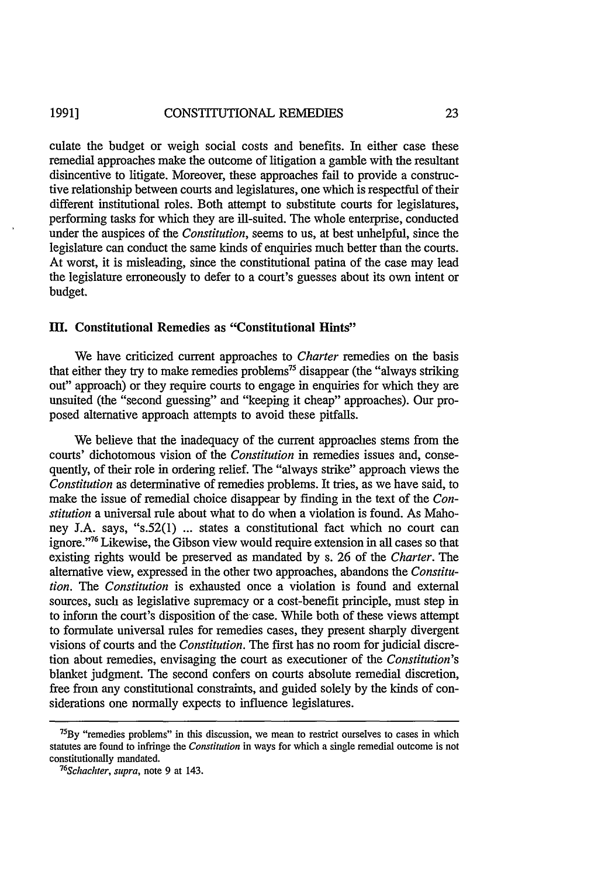#### CONSTITUTIONAL REMEDIES **1991]**

culate the budget or weigh social costs and benefits. In either case these remedial approaches make the outcome of litigation a gamble with the resultant disincentive to litigate. Moreover, these approaches fail to provide a constructive relationship between courts and legislatures, one which is respectful of their different institutional roles. Both attempt to substitute courts for legislatures, performing tasks for which they are ill-suited. The whole enterprise, conducted under the auspices of the *Constitution,* seems to us, at best unhelpful, since the legislature can conduct the same kinds of enquiries much better than the courts. At worst, it is misleading, since the constitutional patina of the case may lead the legislature erroneously to defer to a court's guesses about its own intent or budget.

## M. Constitutional Remedies as **"Constitutional Hints"**

We have criticized current approaches to *Charter* remedies on the basis that either they try to make remedies problems<sup>75</sup> disappear (the "always striking out" approach) or they require courts to engage in enquiries for which they are unsuited (the "second guessing" and "keeping it cheap" approaches). Our proposed alternative approach attempts to avoid these pitfalls.

We believe that the inadequacy of the current approaches stems from the courts' dichotomous vision of the *Constitution* in remedies issues and, consequently, of their role in ordering relief. The "always strike" approach views the *Constitution* as determinative of remedies problems. It tries, as we have said, to make the issue of remedial choice disappear by finding in the text of the *Constitution* a universal rule about what to do when a violation is found. As Mahoney J.A. says, "s.52(l) ... states a constitutional fact which no court can ignore."<sup>76</sup> Likewise, the Gibson view would require extension in all cases so that existing rights would be preserved as mandated by s. 26 of the *Charter.* The alternative view, expressed in the other two approaches, abandons the *Constitution. The Constitution* is exhausted once a violation is found and external sources, such as legislative supremacy or a cost-benefit principle, must step in to inform the court's disposition of the case. While both of these views attempt to formulate universal rules for remedies cases, they present sharply divergent visions of courts and the *Constitution.* The first has no room for judicial discretion about remedies, envisaging the court as executioner of the *Constitution's* blanket judgment. The second confers on courts absolute remedial discretion, free from any constitutional constraints, and guided solely by the kinds of considerations one normally expects to influence legislatures.

 $75$ By "remedies problems" in this discussion, we mean to restrict ourselves to cases in which statutes are found to infringe the *Constitution* in ways for which a single remedial outcome is not constitutionally mandated. *<sup>76</sup>*

*Schachter, supra,* note 9 at 143.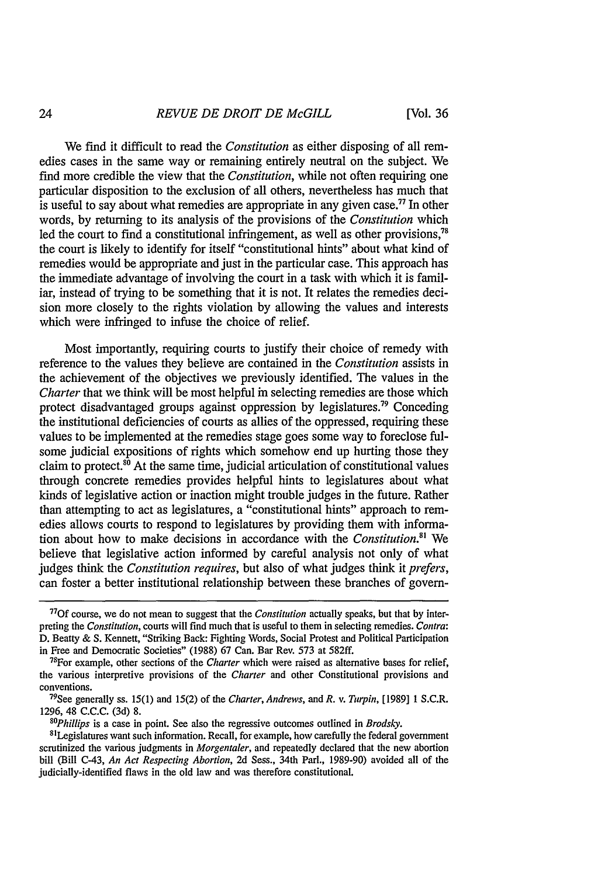We find it difficult to read the *Constitution* as either disposing of all remedies cases in the same way or remaining entirely neutral on the subject. We find more credible the view that the *Constitution,* while not often requiring one particular disposition to the exclusion of all others, nevertheless has much that is useful to say about what remedies are appropriate in any given case.<sup>77</sup> In other words, by returning to its analysis of the provisions of the *Constitution* which led the court to find a constitutional infringement, as well as other provisions, $78$ the court is likely to identify for itself "constitutional hints" about what kind of remedies would be appropriate and just in the particular case. This approach has the immediate advantage of involving the court in a task with which it is familiar, instead of trying to be something that it is not. It relates the remedies decision more closely to the rights violation by allowing the values and interests which were infringed to infuse the choice of relief.

Most importantly, requiring courts to justify their choice of remedy with reference to the values they believe are contained in the *Constitution* assists in the achievement of the objectives we previously identified. The values in the *Charter* that we think will be most helpful in selecting remedies are those which protect disadvantaged groups against oppression by legislatures.79 Conceding the institutional deficiencies of courts as allies of the oppressed, requiring these values to be implemented at the remedies stage goes some way to foreclose fulsome judicial expositions of rights which somehow end up hurting those they claim to protect. $80$  At the same time, judicial articulation of constitutional values through concrete remedies provides helpful hints to legislatures about what kinds of legislative action or inaction might trouble judges in the future. Rather than attempting to act as legislatures, a "constitutional hints" approach to remedies allows courts to respond to legislatures by providing them with information about how to make decisions in accordance with the *Constitution."'* We believe that legislative action informed by careful analysis not only of what judges think the *Constitution requires,* but also of what judges think it *prefers,* can foster a better institutional relationship between these branches of govern-

<sup>77</sup> 0f course, we do not mean to suggest that the *Constitution* actually speaks, but that by interpreting the *Constitution,* courts will find much that is useful to them in selecting remedies. *Contra:* D. Beatty & S. Kennett, "Striking Back: Fighting Words, Social Protest and Political Participation in Free and Democratic Societies" (1988) 67 Can. Bar Rev. 573 at 582ff.

<sup>&</sup>lt;sup>78</sup> For example, other sections of the *Charter* which were raised as alternative bases for relief, the various interpretive provisions of the *Charter* and other Constitutional provisions and conventions.

See generally ss. 15(1) and 15(2) of the *Charter, Andrews, and R. v. Turpin,* [1989] **1** S.C.R. 1296, 48 C.C.C. (3d) 8.<br><sup>80</sup>Phillips is a case in point. See also the regressive outcomes outlined in *Brodsky*.

<sup>&</sup>lt;sup>81</sup>Legislatures want such information. Recall, for example, how carefully the federal government scrutinized the various judgments in *Morgentaler,* and repeatedly declared that the new abortion bill (Bill C-43, *An Act Respecting Abortion,* 2d Sess., 34th Parl., 1989-90) avoided all of the judicially-identified flaws in the old law and was therefore constitutional.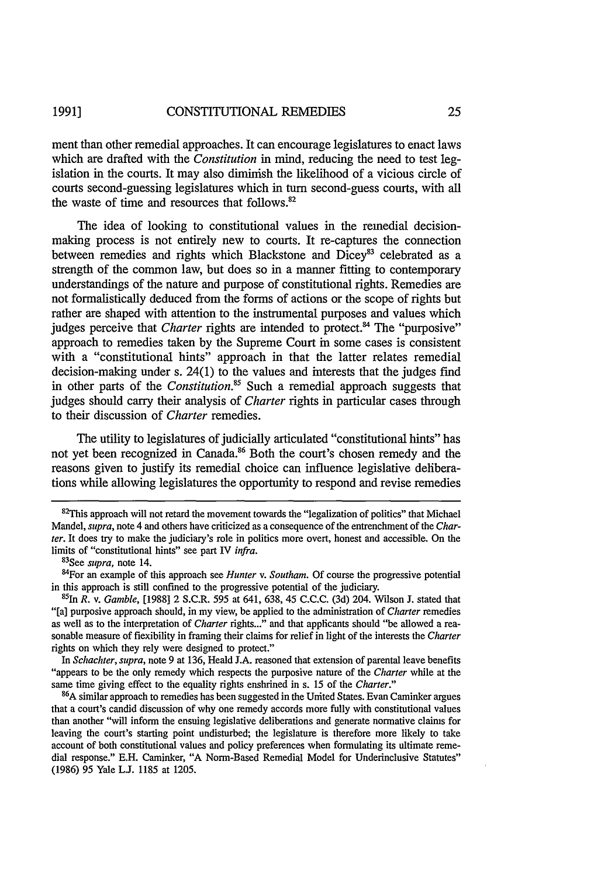ment than other remedial approaches. It can encourage legislatures to enact laws which are drafted with the *Constitution* in mind, reducing the need to test legislation in the courts. It may also diminish the likelihood of a vicious circle of courts second-guessing legislatures which in turn second-guess courts, with all the waste of time and resources that follows. $82$ 

The idea of looking to constitutional values in the remedial decisionmaking process is not entirely new to courts. It re-captures the connection between remedies and rights which Blackstone and Dicey<sup>83</sup> celebrated as a strength of the common law, but does so in a manner fitting to contemporary understandings of the nature and purpose of constitutional rights. Remedies are not formalistically deduced from the forms of actions or the scope of rights but rather are shaped with attention to the instrumental purposes and values which judges perceive that *Charter* rights are intended to protect.<sup>84</sup> The "purposive" approach to remedies taken by the Supreme Court in some cases is consistent with a "constitutional hints" approach in that the latter relates remedial decision-making under s. 24(1) to the values and interests that the judges find in other parts of the *Constitution.5* Such a remedial approach suggests that judges should carry their analysis of *Charter* rights in particular cases through to their discussion of *Charter* remedies.

The utility to legislatures of judicially articulated "constitutional hints" has not yet been recognized in Canada.<sup>86</sup> Both the court's chosen remedy and the reasons given to justify its remedial choice can influence legislative deliberations while allowing legislatures the opportunity to respond and revise remedies

In *Schachter, supra,* note 9 at 136, Heald J.A. reasoned that extension of parental leave benefits "appears to be the only remedy which respects the purposive nature of the *Charter* while at the same time giving effect to the equality rights enshrined in s. 15 of the *Charter."* **<sup>86</sup>**

**A** similar approach to remedies has been suggested in the United States. Evan Caminker argues that a court's candid discussion of why one remedy accords more fully with constitutional values than another "will inform the ensuing legislative deliberations and generate normative claims for leaving the court's starting point undisturbed; the legislature is therefore more likely to take account of both constitutional values and policy preferences when formulating its ultimate remedial response." E.H. Caminker, "A Norm-Based Remedial Model for Underinclusive Statutes" (1986) 95 Yale **L.J.** 1185 at 1205.

 $82$ This approach will not retard the movement towards the "legalization of politics" that Michael Mandel, *supra,* note 4 and others have criticized as a consequence of the entrenchment of the *Charter.* It does try to make the judiciary's role in politics more overt, honest and accessible. On the limits of "constitutional hints" see part IV *infra*.

See *supra,* note 14.

<sup>84</sup>For an example of this approach see *Hunter v. Southam.* Of course the progressive potential in this approach is still confined to the progressive potential of the judiciary.

<sup>1</sup>h *R.* v. *Gamble,* [1988] 2 S.C.R. 595 at 641, 638, 45 C.C.C. (3d) 204. Wilson J. stated that "[a] purposive approach should, in my view, be applied to the administration of *Charter* remedies as well as to the interpretation of *Charter* rights..." and that applicants should "be allowed a reasonable measure of flexibility in framing their claims for relief in light of the interests the *Charter* rights on which they rely were designed to protect."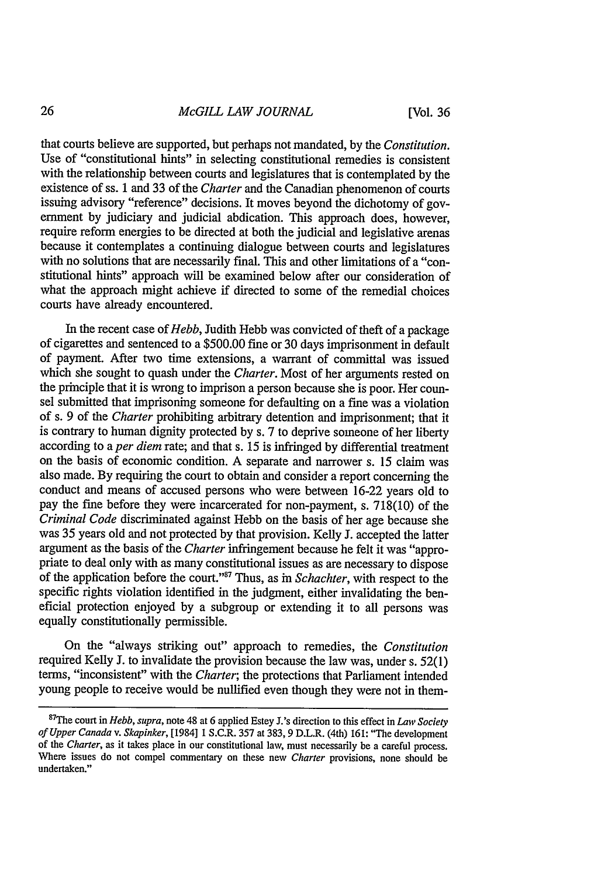that courts believe are supported, but perhaps not mandated, by the *Constitution.* Use of "constitutional hints" in selecting constitutional remedies is consistent with the relationship between courts and legislatures that is contemplated by the existence of ss. 1 and 33 of the *Charter* and the Canadian phenomenon of courts issuing advisory "reference" decisions. It moves beyond the dichotomy of government by judiciary and judicial abdication. This approach does, however, require reform energies to be directed at both the judicial and legislative arenas because it contemplates a continuing dialogue between courts and legislatures with no solutions that are necessarily final. This and other limitations of a "constitutional hints" approach will be examined below after our consideration of what the approach might achieve if directed to some of the remedial choices courts have already encountered.

In the recent case of *Hebb,* Judith Hebb was convicted of theft of a package of cigarettes and sentenced to a \$500.00 fine or 30 days imprisonment in default of payment. After two time extensions, a warrant of committal was issued which she sought to quash under the *Charter.* Most of her arguments rested on the principle that it is wrong to imprison a person because she is poor. Her counsel submitted that imprisoning someone for defaulting on a fine was a violation of s. 9 of the *Charter* prohibiting arbitrary detention and imprisonment; that it is contrary to human dignity protected by s. 7 to deprive someone of her liberty according to *aper diem* rate; and that s. 15 is infringed by differential treatment on the basis of economic condition. A separate and narrower s. 15 claim was also made. By requiring the court to obtain and consider a report concerning the conduct and means of accused persons who were between 16-22 years old to pay the fine before they were incarcerated for non-payment, s. 718(10) of the *Criminal Code* discriminated against Hebb on the basis of her age because she was 35 years old and not protected by that provision. Kelly J. accepted the latter argument as the basis of the *Charter* infringement because he felt it was "appropriate to deal only with as many constitutional issues as are necessary to dispose of the application before the court.""7 Thus, as in *Schachter,* with respect to the specific rights violation identified in the judgment, either invalidating the beneficial protection enjoyed by a subgroup or extending it to all persons was equally constitutionally permissible.

On the "always striking out" approach to remedies, the *Constitution* required Kelly J. to invalidate the provision because the law was, under s. 52(1) terms, "inconsistent" with the *Charter;* the protections that Parliament intended young people to receive would be nullified even though they were not in them-

<sup>8</sup> 7 The court in *Hebb, supra,* note 48 at 6 applied Estey J.'s direction to this effect in *Law Society of Upper Canada v. Skapinker,* [1984] 1 S.C.R. 357 at 383, 9 D.L.R. (4th) 161: "The development of the *Charter,* as it takes place in our constitutional law, must necessarily be a careful process. Where issues do not compel commentary on these new *Charter* provisions, none should be undertaken."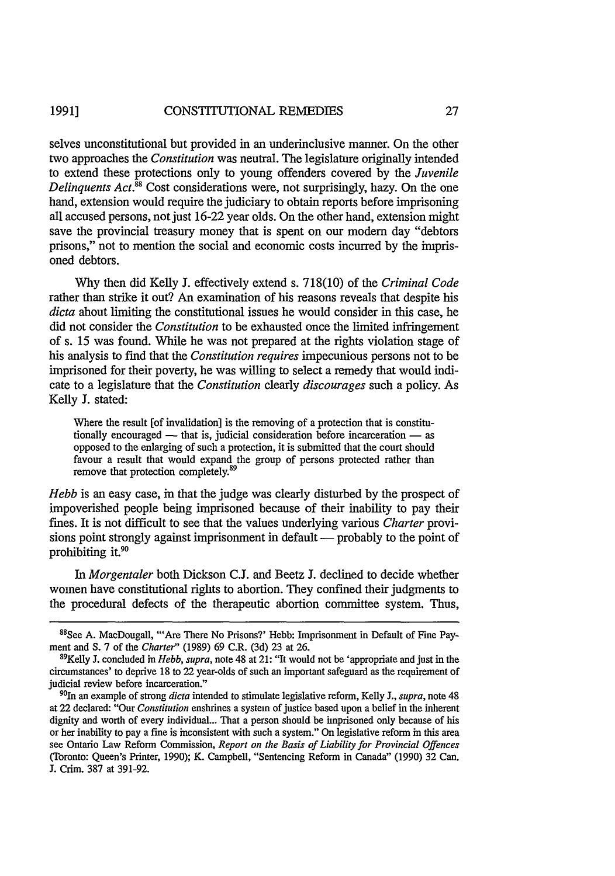selves unconstitutional but provided in an underinclusive manner. On the other two approaches the *Constitution* was neutral. The legislature originally intended to extend these protections only to young offenders covered by the *Juvenile Delinquents Act.*<sup>88</sup> Cost considerations were, not surprisingly, hazy. On the one hand, extension would require the judiciary to obtain reports before imprisoning all accused persons, not just 16-22 year olds. On the other hand, extension might save the provincial treasury money that is spent on our modem day "debtors prisons," not to mention the social and economic costs incurred by the imprisoned debtors.

Why then did Kelly J. effectively extend s. 718(10) of the *Criminal Code* rather than strike it out? An examination of his reasons reveals that despite his *dicta* about limiting the constitutional issues he would consider in this case, he did not consider the *Constitution* to be exhausted once the limited infringement of s. 15 was found. While he was not prepared at the rights violation stage of his analysis to find that the *Constitution requires* impecunious persons not to be imprisoned for their poverty, he was willing to select a remedy that would indicate to a legislature that the *Constitution* clearly *discourages* such a policy. As Kelly J. stated:

Where the result [of invalidation] is the removing of a protection that is constitutionally encouraged  $-$  that is, judicial consideration before incarceration  $-$  as opposed to the enlarging of such a protection, it is submitted that the court should favour a result that would expand the group of persons protected rather than remove that protection completely.<sup>89</sup>

*Hebb* is an easy case, in that the judge was clearly disturbed by the prospect of impoverished people being imprisoned because of their inability to pay their fines. It is not difficult to see that the values underlying various *Charter* provisions point strongly against imprisonment in default — probably to the point of prohibiting it.<sup>9</sup>

*In Morgentaler* both Dickson **C.J.** and Beetz **J.** declined to decide whether women have constitutional rights to abortion. They confined their judgments to the procedural defects of the therapeutic abortion committee system. Thus,

<sup>&</sup>lt;sup>88</sup>See A. MacDougall, "Are There No Prisons?' Hebb: Imprisonment in Default of Fine Payment and S. 7 of the *Charter"* (1989) 69 C.R. (3d) 23 at 26.

<sup>89</sup> Kelly J. concluded in *Hebb, supra,* note 48 at 21: "It would not be 'appropriate and just in the circumstances' to deprive 18 to 22 year-olds of such an important safeguard as the requirement of judicial review before incarceration."

<sup>90</sup>In an example of strong *dicta* intended to stimulate legislative reform, Kelly J., *supra,* note 48 at 22 declared: "Our *Constitution* enshrines a system of justice based upon a belief in the inherent dignity and worth of every individual... That a person should be imprisoned only because of his or her inability to pay a fine is inconsistent with such a system." On legislative reform in this area see Ontario Law Reform Commission, *Report on the Basis of Liability for Provincial Offences* (Toronto: Queen's Printer, 1990); K. Campbell, "Sentencing Reform in Canada" (1990) 32 Can. J. Crim. 387 at 391-92.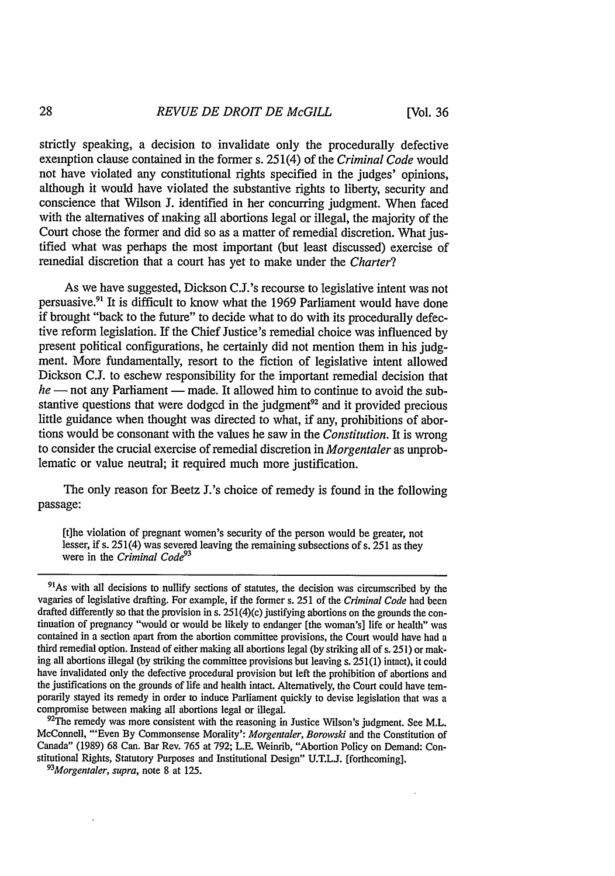[Vol. **36**

strictly speaking, a decision to invalidate only the procedurally defective exemption clause contained in the former s. 251(4) of the *Criminal Code* would not have violated any constitutional rights specified in the judges' opinions, although it would have violated the substantive rights to liberty, security and conscience that Wilson **J.** identified in her concurring judgment. When faced with the alternatives of making all abortions legal or illegal, the majority of the Court chose the former and did so as a matter of remedial discretion. What justified what was perhaps the most important (but least discussed) exercise of remedial discretion that a court has yet to make under the *Charter?*

As we have suggested, Dickson C.J.'s recourse to legislative intent was not persuasive." It is difficult to know what the 1969 Parliament would have done if brought "back to the future" to decide what to do with its procedurally defective reform legislation. If the Chief Justice's remedial choice was influenced by present political configurations, he certainly did not mention them in his judgment. More fundamentally, resort to the fiction of legislative intent allowed Dickson C.J. to eschew responsibility for the important remedial decision that *he* — not any Parliament — made. It allowed him to continue to avoid the substantive questions that were dodged in the judgment<sup>92</sup> and it provided precious little guidance when thought was directed to what, if any, prohibitions of abortions would be consonant with the values he saw in the *Constitution.* It is wrong to consider the crucial exercise of remedial discretion in *Morgentaler* as unproblematic or value neutral; it required much more justification.

The only reason for Beetz J.'s choice of remedy is found in the following passage:

[t]he violation of pregnant women's security of the person would be greater, not lesser, if s. 251(4) was severed leaving the remaining subsections of s. 251 as they were in the *Criminal Code93*

 $92$ The remedy was more consistent with the reasoning in Justice Wilson's judgment. See M.L. McConnell, "'Even By Commonsense Morality': *Morgentaler, Borowski* and the Constitution of Canada" (1989) 68 Can. Bar Rev. 765 at 792; L.E. Weinrib, "Abortion Policy on Demand: Constitutional Rights, Statutory Purposes and Institutional Design" U.T.L.J. [forthcoming].

*Morgentaler, supra,* note 8 at 125.

<sup>&</sup>lt;sup>91</sup>As with all decisions to nullify sections of statutes, the decision was circumscribed by the vagaries of legislative drafting. For example, if the former s. 251 of the *Criminal Code* had been drafted differently so that the provision in s. 251(4)(c) justifying abortions on the grounds the con- tinuation of pregnancy "would or would be likely to endanger [the woman's] life or health" was contained in a section apart from the abortion committee provisions, the Court would have had a third remedial option. Instead of either making all abortions legal (by striking all of s. 251) or making all abortions illegal (by striking the committee provisions but leaving s. 251(1) intact), it could have invalidated only the defective procedural provision but left the prohibition of abortions and the justifications on the grounds of life and health intact. Alternatively, the Court could have temporarily stayed its remedy in order to induce Parliament quickly to devise legislation that was a compromise between making all abortions legal or illegal.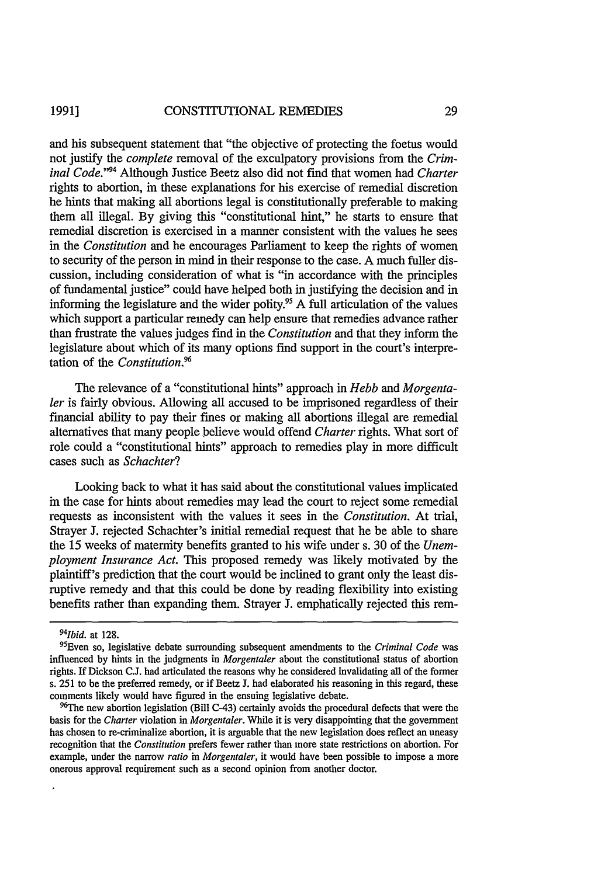#### CONSTITUTIONAL REMEDIES **1991]**

and his subsequent statement that "the objective of protecting the foetus would not justify the *complete* removal of the exculpatory provisions from the *Criminal Code."94* Although Justice Beetz also did not find that women had *Charter* rights to abortion, in these explanations for his exercise of remedial discretion he hints that making all abortions legal is constitutionally preferable to making them all illegal. By giving this "constitutional hint," he starts to ensure that remedial discretion is exercised in a manner consistent with the values he sees in the *Constitution* and he encourages Parliament to keep the rights of women to security of the person in mind in their response to the case. A much fuller discussion, including consideration of what is "in accordance with the principles of fundamental justice" could have helped both in justifying the decision and in informing the legislature and the wider polity.95 A full articulation of the values which support a particular remedy can help ensure that remedies advance rather than frustrate the values judges find in the *Constitution* and that they inform the legislature about which of its many options **find** support in the court's interpretation of the *Constitution.96*

The relevance of a "constitutional hints" approach in *Hebb and Morgentaler* is fairly obvious. Allowing all accused to be imprisoned regardless of their financial ability to pay their fines or making all abortions illegal are remedial alternatives that many people believe would offend *Charter* rights. What sort of role could a "constitutional hints" approach to remedies play in more difficult cases such as *Schachter?*

Looking back to what it has said about the constitutional values implicated in the case for hints about remedies may lead the court to reject some remedial requests as inconsistent with the values it sees in the *Constitution.* At trial, Strayer **J.** rejected Schachter's initial remedial request that he be able to share the 15 weeks of maternity benefits granted to his wife under s. 30 of the *Unemployment Insurance Act.* This proposed remedy was likely motivated by the plaintiff's prediction that the court would be inclined to grant only the least disruptive remedy and that this could be done by reading flexibility into existing benefits rather than expanding them. Strayer **J.** emphatically rejected this rem-

<sup>&</sup>lt;sup>94</sup>*Ibid.* at 128.

<sup>&</sup>lt;sup>95</sup>Even so, legislative debate surrounding subsequent amendments to the *Criminal Code* was influenced by hints in the judgments in *Morgentaler* about the constitutional status of abortion rights. If Dickson **C.J.** had articulated the reasons why he considered invalidating all of the former s. 251 to be the preferred remedy, or if Beetz J. had elaborated his reasoning in this regard, these comments likely would have figured in the ensuing legislative debate.

<sup>&</sup>lt;sup>96</sup>The new abortion legislation (Bill C-43) certainly avoids the procedural defects that were the basis for the *Charter* violation in *Morgentaler.* While it is very disappointing that the government has chosen to re-criminalize abortion, it is arguable that the new legislation does reflect an uneasy recognition that the *Constitution* prefers fewer rather than more state restrictions on abortion. For example, under the narrow *ratio in Morgentaler,* it would have been possible to impose a more onerous approval requirement such as a second opinion from another doctor.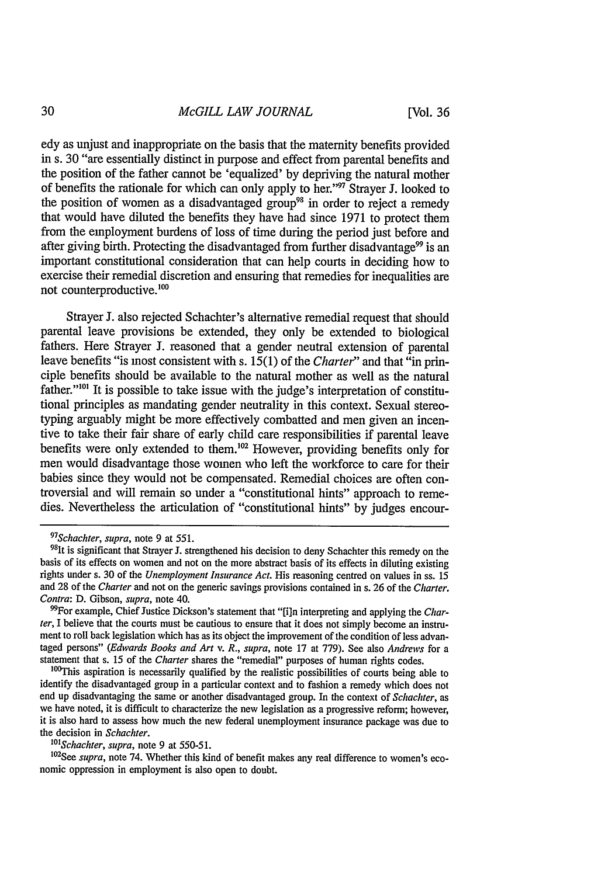edy as unjust and inappropriate on the basis that the maternity benefits provided in s. 30 "are essentially distinct in purpose and effect from parental benefits and the position of the father cannot be 'equalized' by depriving the natural mother of benefits the rationale for which can only apply to her." $\frac{97}{7}$  Strayer J. looked to the position of women as a disadvantaged group<sup>98</sup> in order to reject a remedy that would have diluted the benefits they have had since 1971 to protect them from the employment burdens of loss of time during the period just before and after giving birth. Protecting the disadvantaged from further disadvantage<sup>99</sup> is an important constitutional consideration that can help courts in deciding how to exercise their remedial discretion and ensuring that remedies for inequalities are not counterproductive. **0**

Strayer J. also rejected Schachter's alternative remedial request that should parental leave provisions be extended, they only be extended to biological fathers. Here Strayer J. reasoned that a gender neutral extension of parental leave benefits "is most consistent with s. 15(1) of the *Charter"* and that "in principle benefits should be available to the natural mother as well as the natural father."<sup>101</sup> It is possible to take issue with the judge's interpretation of constitutional principles as mandating gender neutrality in this context. Sexual stereotyping arguably might be more effectively combatted and men given an incentive to take their fair share of early child care responsibilities if parental leave benefits were only extended to them.<sup>102</sup> However, providing benefits only for men would disadvantage those women who left the workforce to care for their babies since they would not be compensated. Remedial choices are often controversial and will remain so under a "constitutional hints" approach to remedies. Nevertheless the articulation of "constitutional hints" by judges encour-

*97*

*' 01 Schachter, supra,* note 9 at 550-51.

<sup>102</sup>See supra, note 74. Whether this kind of benefit makes any real difference to women's economic oppression in employment is also open to doubt.

<sup>&</sup>lt;sup>97</sup>Schachter, supra, note 9 at 551

<sup>&</sup>lt;sup>98</sup>1t is significant that Strayer J. strengthened his decision to deny Schachter this remedy on the basis of its effects on women and not on the more abstract basis of its effects in diluting existing rights under s. 30 of the *Unemployment Insurance Act.* His reasoning centred on values in ss. 15 and 28 of the *Charter* and not on the generic savings provisions contained in s. 26 of the *Charter. Contra:* D. Gibson, *supra,* note 40.

<sup>&</sup>quot;For example, Chief Justice Dickson's statement that "[i]n interpreting and applying the *Charter,* I believe that the courts must be cautious to ensure that it does not simply become an instrument to roll back legislation which has as its object the improvement of the condition of less advantaged persons" *(Edwards Books and Art v. R., supra,* note 17 at 779). See also *Andrews* for a statement that s. 15 of the *Charter* shares the "remedial" purposes of human rights codes.

Figure 1.1 The other of the change and the controller perposes of name in figure codes.<br><sup>100</sup>This aspiration is necessarily qualified by the realistic possibilities of courts being able to identify the disadvantaged group in a particular context and to fashion a remedy which does not end up disadvantaging the same or another disadvantaged group. In the context of *Schachter,* as we have noted, it is difficult to characterize the new legislation as a progressive reform; however, it is also hard to assess how much the new federal unemployment insurance package was due to the decision in *Schachter.*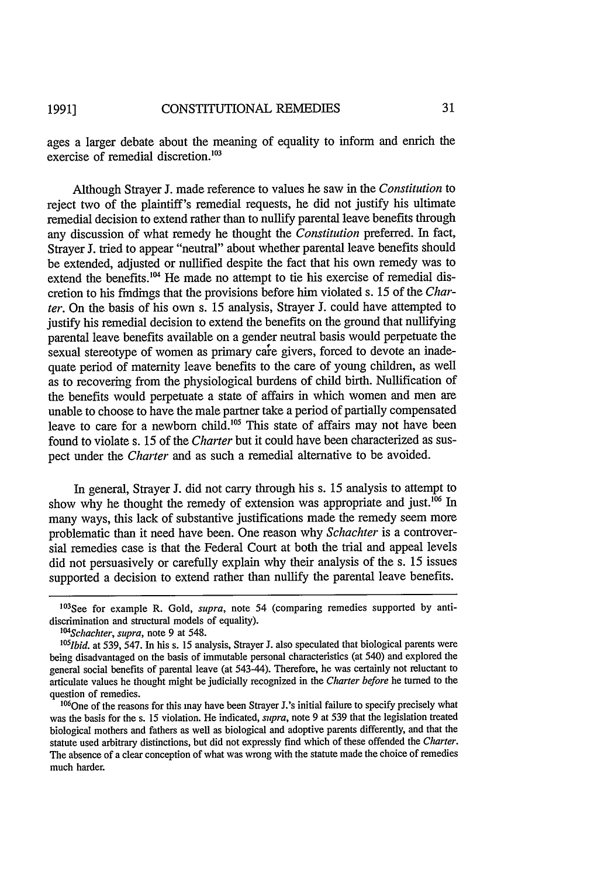ages a larger debate about the meaning of equality to inform and enrich the exercise of remedial discretion.<sup>103</sup>

Although Strayer J. made reference to values he saw in the *Constitution* to reject two of the plaintiff's remedial requests, he did not justify his ultimate remedial decision to extend rather than to nullify parental leave benefits through any discussion of what remedy he thought the *Constitution* preferred. In fact, Strayer J. tried to appear "neutral" about whether parental leave benefits should be extended, adjusted or nullified despite the fact that his own remedy was to extend the benefits.<sup>104</sup> He made no attempt to tie his exercise of remedial discretion to his findings that the provisions before him violated s. 15 of the *Charter.* On the basis of his own s. 15 analysis, Strayer J. could have attempted to justify his remedial decision to extend the benefits on the ground that nullifying parental leave benefits available on a gender neutral basis would perpetuate the sexual stereotype of women as primary care givers, forced to devote an inadequate period of maternity leave benefits to the care of young children, as well as to recovering from the physiological burdens of child birth. Nullification of the benefits would perpetuate a state of affairs in which women and men are unable to choose to have the male partner take a period of partially compensated leave to care for a newborn child.<sup>105</sup> This state of affairs may not have been found to violate s. 15 of the *Charter* but it could have been characterized as suspect under the *Charter* and as such a remedial alternative to be avoided.

In general, Strayer J. did not carry through his s. 15 analysis to attempt to show why he thought the remedy of extension was appropriate and just.<sup>106</sup> In many ways, this lack of substantive justifications made the remedy seem more problematic than it need have been. One reason why *Schachter* is a controversial remedies case is that the Federal Court at both the trial and appeal levels did not persuasively or carefully explain why their analysis of the s. 15 issues supported a decision to extend rather than nullify the parental leave benefits.

<sup>1</sup> 03 See for example R. Gold, *supra,* note 54 (comparing remedies supported by antidiscrimination and structural models of equality).

*<sup>1&#</sup>x27;4Schachter, supra,* note 9 at 548.

<sup>&</sup>lt;sup>105</sup>*Ibid.* at 539, 547. In his s. 15 analysis, Strayer J. also speculated that biological parents were being disadvantaged on the basis of immutable personal characteristics (at 540) and explored the general social benefits of parental leave (at 543-44). Therefore, he was certainly not reluctant to articulate values he thought might be judicially recognized in the *Charter before* he turned to the question of remedies.

**<sup>1</sup> 06 One** of the reasons for this may have been Strayer J.'s initial failure to specify precisely what was the basis for the s. 15 violation. He indicated, *supra,* note 9 at 539 that the legislation treated biological mothers and fathers as well as biological and adoptive parents differently, and that the statute used arbitrary distinctions, but did not expressly find which of these offended the *Charter.* The absence of a clear conception of what was wrong with the statute made the choice of remedies much harder.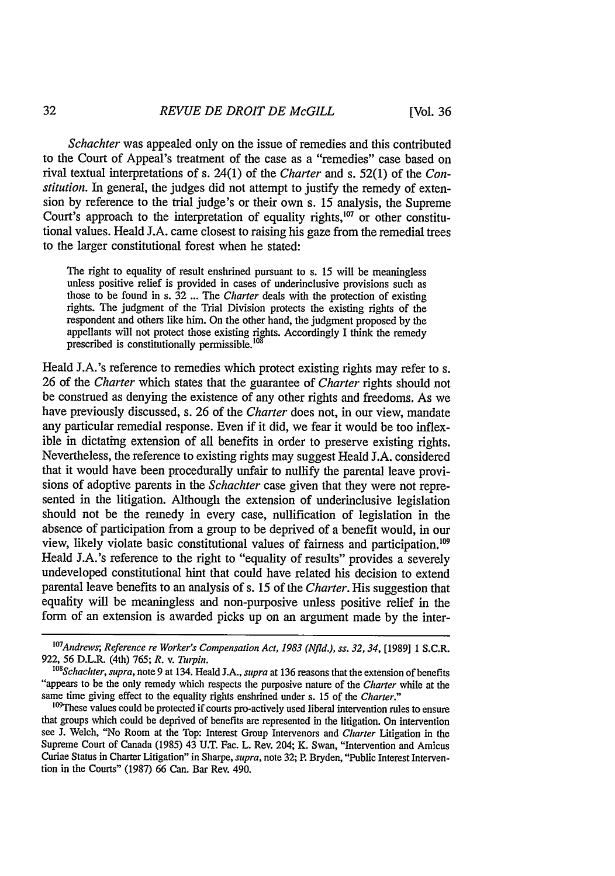*Schachter* was appealed only on the issue of remedies and this contributed to the Court of Appeal's treatment of the case as a "remedies" case based on rival textual interpretations of s. 24(1) of the *Charter* and s. 52(1) of the *Constitution.* In general, the judges did not attempt to justify the remedy of extension by reference to the trial judge's or their own s. 15 analysis, the Supreme Court's approach to the interpretation of equality rights, $^{107}$  or other constitutional values. Heald J.A. came closest to raising his gaze from the remedial trees to the larger constitutional forest when he stated:

The right to equality of result enshrined pursuant to s. 15 will be meaningless unless positive relief is provided in cases of underinclusive provisions such as those to be found in s. 32 ... The *Charter* deals with the protection of existing rights. The judgment of the Trial Division protects the existing rights of the respondent and others like him. On the other hand, the judgment proposed by the appellants will not protect those existing rights. Accordingly I think the remedy<br>prescribed is constitutionally permissible.<sup>108</sup>

Heald J.A.'s reference to remedies which protect existing rights may refer to s. 26 of the *Charter* which states that the guarantee of *Charter* rights should not be construed as denying the existence of any other rights and freedoms. As we have previously discussed, s. 26 of the *Charter* does not, in our view, mandate any particular remedial response. Even if it did, we fear it would be too inflexible in dictating extension of all benefits in order to preserve existing rights. Nevertheless, the reference to existing rights may suggest Heald J.A. considered that it would have been procedurally unfair to nullify the parental leave provisions of adoptive parents in the *Schachter* case given that they were not represented in the litigation. Although the extension of underinclusive legislation should not be the remedy in every case, nullification of legislation in the absence of participation from a group to be deprived of a benefit would, in our view, likely violate basic constitutional values of fairness and participation.' Heald J.A.'s reference to the right to "equality of results" provides a severely undeveloped constitutional hint that could have related his decision to extend parental leave benefits to an analysis of s. 15 of the *Charter.* His suggestion that equality will be meaningless and non-purposive unless positive relief in the form of an extension is awarded picks up on an argument made by the inter-

32

<sup>&</sup>lt;sup>107</sup> Andrews; Reference re Worker's Compensation Act, 1983 (Nfld.), ss. 32, 34, [1989] 1 S.C.R. 922, 56 D.L.R. (4th) 765; *R.* v. *Turpin.*

 $108$ Schachter, supra, note 9 at 134. Heald J.A., supra at 136 reasons that the extension of benefits<br>"appears to be the only remedy which respects the purposive nature of the *Charter* while at the "appears to be the only remedy which respects the purposive nature of the *Charter* while at the same time giving effect to the equality rights enshrined under s. 15 of the *Charter*."

<sup>&</sup>lt;sup>109</sup>These values could be protected if courts pro-actively used liberal intervention rules to ensure that groups which could be deprived of benefits are represented in the litigation. On intervention see J. Welch, "No Room at the Top: Interest Group Intervenors and *Charter* Litigation in the Supreme Court of Canada (1985) 43 U.T. Fac. L. Rev. 204; K. Swan, "Intervention and Amicus Curiae Status in Charter Litigation" in Sharpe, *supra,* note 32; P. Bryden, "Public Interest Intervention in the Courts" (1987) 66 Can. Bar Rev. 490.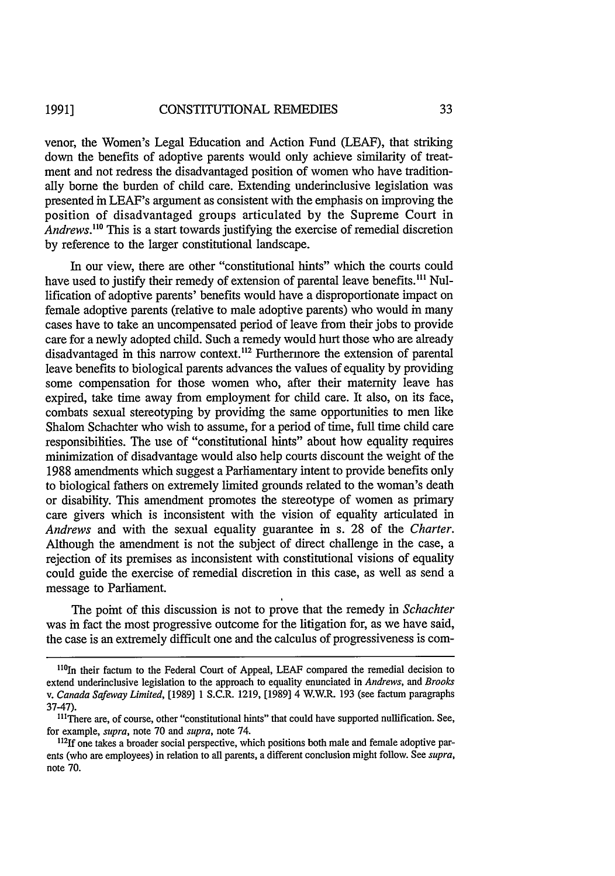venor, the Women's Legal Education and Action Fund (LEAF), that striking down the benefits of adoptive parents would only achieve similarity of treatment and not redress the disadvantaged position of women who have traditionally borne the burden of child care. Extending underinclusive legislation was presented in LEAF's argument as consistent with the emphasis on improving the position of disadvantaged groups articulated by the Supreme Court in Andrews.<sup>110</sup> This is a start towards justifying the exercise of remedial discretion by reference to the larger constitutional landscape.

In our view, there are other "constitutional hints" which the courts could have used to justify their remedy of extension of parental leave benefits.<sup>111</sup> Nullification of adoptive parents' benefits would have a disproportionate impact on female adoptive parents (relative to male adoptive parents) who would in many cases have to take an uncompensated period of leave from their jobs to provide care for a newly adopted child. Such a remedy would hurt those who are already disadvantaged in this narrow context.<sup>112</sup> Furthermore the extension of parental leave benefits to biological parents advances the values of equality by providing some compensation for those women who, after their maternity leave has expired, take time away from employment for child care. It also, on its face, combats sexual stereotyping by providing the same opportunities to men like Shalom Schachter who wish to assume, for a period of time, full time child care responsibilities. The use of "constitutional hints" about how equality requires minimization of disadvantage would also help courts discount the weight of the 1988 amendments which suggest a Parliamentary intent to provide benefits only to biological fathers on extremely limited grounds related to the woman's death or disability. This amendment promotes the stereotype of women as primary care givers which is inconsistent with the vision of equality articulated in *Andrews* and with the sexual equality guarantee in s. 28 of the *Charter.* Although the amendment is not the subject of direct challenge in the case, a rejection of its premises as inconsistent with constitutional visions of equality could guide the exercise of remedial discretion in this case, as well as send a message to Parliament.

The point of this discussion is not to prove that the remedy in *Schachter* was in fact the most progressive outcome for the litigation for, as we have said, the case is an extremely difficult one and the calculus of progressiveness is com-

 $110$ In their factum to the Federal Court of Appeal, LEAF compared the remedial decision to extend underinclusive legislation to the approach to equality enunciated in *Andrews, and Brooks v. Canada Safeway Limited,* [1989] 1 S.C.R. 1219, [1989] 4 W.W.R. 193 (see factum paragraphs 37-47).

<sup>&</sup>lt;sup>111</sup>There are, of course, other "constitutional hints" that could have supported nullification. See, for example, *supra,* note **70** and *supra,* note 74.

<sup>12&</sup>lt;sup>12</sup>If one takes a broader social perspective, which positions both male and female adoptive parents (who are employees) in relation to all parents, a different conclusion might follow. See *supra,* note 70.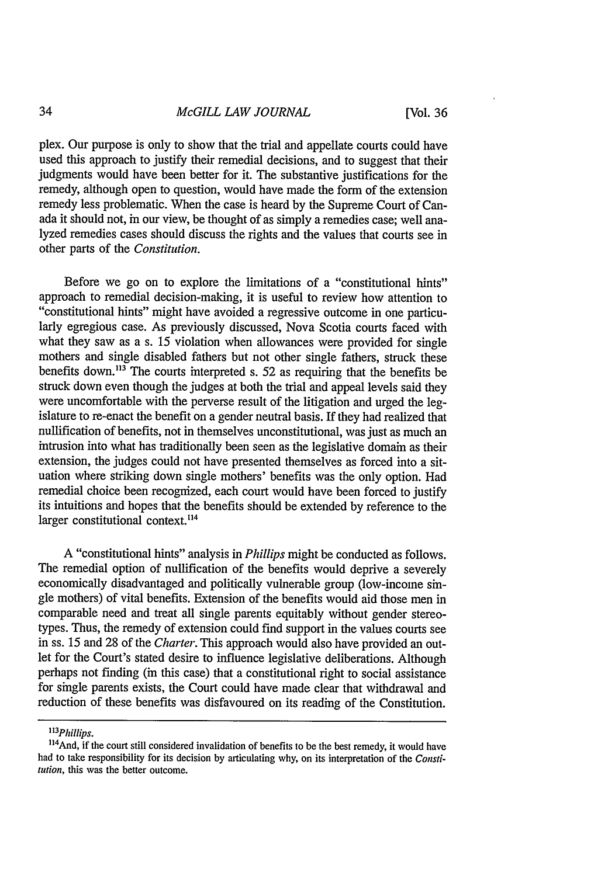plex. Our purpose is only to show that the trial and appellate courts could have used this approach to justify their remedial decisions, and to suggest that their judgments would have been better for it. The substantive justifications for the remedy, although open to question, would have made the form of the extension remedy less problematic. When the case is heard by the Supreme Court of Canada it should not, in our view, be thought of as simply a remedies case; well analyzed remedies cases should discuss the rights and the values that courts see in other parts of the *Constitution.*

Before we go on to explore the limitations of a "constitutional hints" approach to remedial decision-making, it is useful to review how attention to "constitutional hints" might have avoided a regressive outcome in one particularly egregious case. As previously discussed, Nova Scotia courts faced with what they saw as a s. 15 violation when allowances were provided for single mothers and single disabled fathers but not other single fathers, struck these benefits down.<sup>113</sup> The courts interpreted s. 52 as requiring that the benefits be struck down even though the judges at both the trial and appeal levels said they were uncomfortable with the perverse result of the litigation and urged the legislature to re-enact the benefit on a gender neutral basis. If they had realized that nullification of benefits, not in themselves unconstitutional, was just as much an intrusion into what has traditionally been seen as the legislative domain as their extension, the judges could not have presented themselves as forced into a situation where striking down single mothers' benefits was the only option. Had remedial choice been recognized, each court would have been forced to justify its intuitions and hopes that the benefits should be extended by reference to the larger constitutional context.<sup>114</sup>

A "constitutional hints" analysis in *Phillips* might be conducted as follows. The remedial option of nullification of the benefits would deprive a severely economically disadvantaged and politically vulnerable group (low-income single mothers) of vital benefits. Extension of the benefits would aid those men in comparable need and treat all single parents equitably without gender stereotypes. Thus, the remedy of extension could find support in the values courts see in ss. 15 and 28 of the *Charter.* This approach would also have provided an outlet for the Court's stated desire to influence legislative deliberations. Although perhaps not finding (in this case) that a constitutional right to social assistance for single parents exists, the Court could have made clear that withdrawal and reduction of these benefits was disfavoured on its reading of the Constitution.

*<sup>&</sup>quot;13 Phillips.*

I<sup>14</sup> and, if the court still considered invalidation of benefits to be the best remedy, it would have had to take responsibility for its decision by articulating why, on its interpretation of the *Consti*tution, this was the better outcome.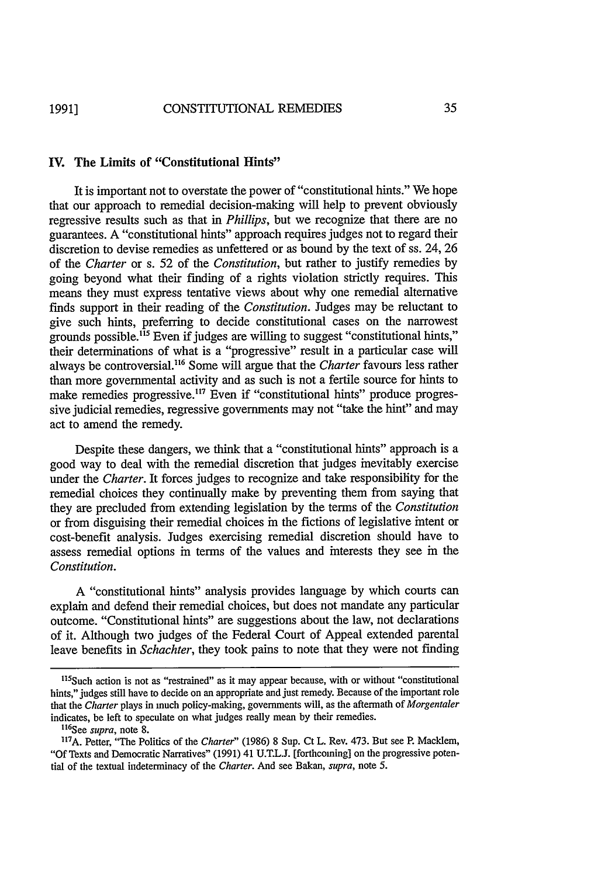#### **IV.** The Limits of "Constitutional Hints"

It is important not to overstate the power of "constitutional hints." We hope that our approach to remedial decision-making will help to prevent obviously regressive results such as that in *Phillips,* but we recognize that there are no guarantees. A "constitutional hints" approach requires judges not to regard their discretion to devise remedies as unfettered or as bound by the text of ss. 24, 26 of the *Charter* or s. 52 of the *Constitution,* but rather to justify remedies by going beyond what their finding of a rights violation strictly requires. This means they must express tentative views about why one remedial alternative finds support in their reading of the *Constitution.* Judges may be reluctant to give such hints, preferring to decide constitutional cases on the narrowest grounds possible.<sup>115</sup> Even if judges are willing to suggest "constitutional hints," their determinations of what is a "progressive" result in a particular case will always be controversial." 6 Some will argue that the *Charter* favours less rather than more governmental activity and as such is not a fertile source for hints to make remedies progressive.<sup>117</sup> Even if "constitutional hints" produce progressive judicial remedies, regressive governments may not "take the hint" and may act to amend the remedy.

Despite these dangers, we think that a "constitutional hints" approach is a good way to deal with the remedial discretion that judges inevitably exercise under the *Charter.* It forces judges to recognize and take responsibility for the remedial choices they continually make by preventing them from saying that they are precluded from extending legislation by the terms of the *Constitution* or from disguising their remedial choices in the fictions of legislative intent or cost-benefit analysis. Judges exercising remedial discretion should have to assess remedial options in terms of the values and interests they see in the *Constitution.*

A "constitutional hints" analysis provides language by which courts can explain and defend their remedial choices, but does not mandate any particular outcome. "Constitutional hints" are suggestions about the law, not declarations of it. Although two judges of the Federal Court of Appeal extended parental leave benefits in *Schachter,* they took pains to note that they were not finding

 $115$ Such action is not as "restrained" as it may appear because, with or without "constitutional hints," judges still have to decide on an appropriate and just remedy. Because of the important role that the *Charter* plays in much policy-making, governments will, as the aftermath of *Morgentaler* indicates, be left to speculate on what judges really mean by their remedies.

See *supra,* note 8.

**<sup>17</sup> A.** Petter, "The Politics of the *Charter"* (1986) 8 Sup. Ct L. Rev. 473. But see P. Macklem, "Of Texts and Democratic Narratives" (1991) 41 U.T.L.J. [forthcoming] on the progressive potential of the textual indeterminacy of the *Charter.* And see Bakan, *supra,* note 5.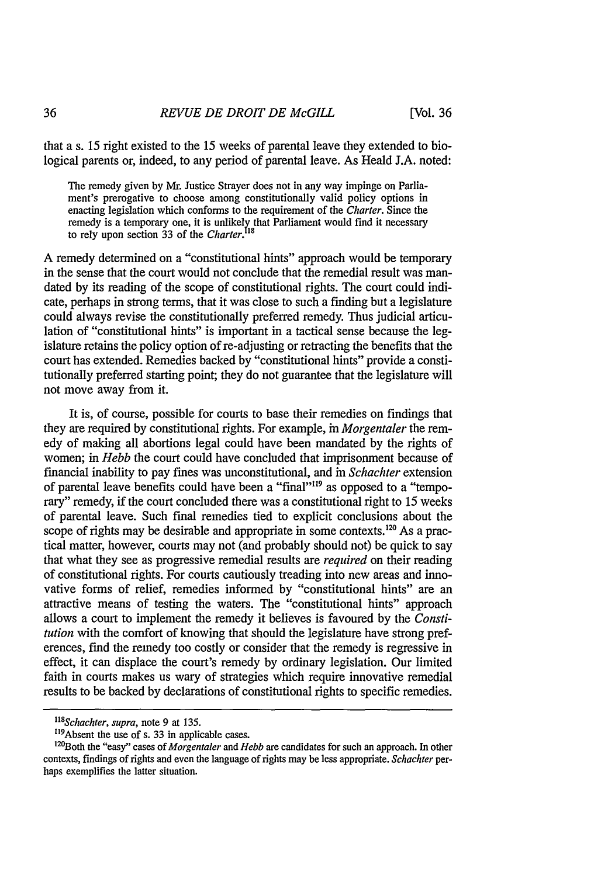that a s. 15 right existed to the 15 weeks of parental leave they extended to biological parents or, indeed, to any period of parental leave. As Heald J.A. noted:

The remedy given by Mr. Justice Strayer does not in any way impinge on Parliament's prerogative to choose among constitutionally valid policy options in enacting legislation which conforms to the requirement of the *Charter.* Since the remedy is a temporary one, it is unlikely that Parliament would find it necessary to rely upon section 33 of the *Charter.!* **<sup>1</sup>**

A remedy determined on a "constitutional hints" approach would be temporary in the sense that the court would not conclude that the remedial result was mandated by its reading of the scope of constitutional rights. The court could indicate, perhaps in strong terms, that it was close to such a finding but a legislature could always revise the constitutionally preferred remedy. Thus judicial articulation of "constitutional hints" is important in a tactical sense because the legislature retains the policy option of re-adjusting or retracting the benefits that the court has extended. Remedies backed by "constitutional hints" provide a constitutionally preferred starting point; they do not guarantee that the legislature will not move away from it.

It is, of course, possible for courts to base their remedies on findings that they are required by constitutional rights. For example, in *Morgentaler* the remedy of making all abortions legal could have been mandated by the rights of women; in *Hebb* the court could have concluded that imprisonment because of financial inability to pay fines was unconstitutional, and in *Schachter* extension of parental leave benefits could have been a "final""9 as opposed to a "temporary" remedy, if the court concluded there was a constitutional right to 15 weeks of parental leave. Such final remedies tied to explicit conclusions about the scope of rights may be desirable and appropriate in some contexts.<sup>120</sup> As a practical matter, however, courts may not (and probably should not) be quick to say that what they see as progressive remedial results are *required* on their reading of constitutional rights. For courts cautiously treading into new areas and innovative forms of relief, remedies informed by "constitutional hints" are an attractive means of testing the waters. The "constitutional hints" approach allows a court to implement the remedy it believes is favoured by the *Constitution* with the comfort of knowing that should the legislature have strong preferences, find the remedy too costly or consider that the remedy is regressive in effect, it can displace the court's remedy by ordinary legislation. Our limited faith in courts makes us wary of strategies which require innovative remedial results to be backed by declarations of constitutional rights to specific remedies.

<sup>&</sup>lt;sup>118</sup>Schachter, supra, note 9 at 135.

<sup>&</sup>lt;sup>119</sup> Absent the use of s. 33 in applicable cases.<br> $\frac{120 \text{Roth}}{200 \text{Roth}}$  the "easy" cases of *Morgantaler* and *H* 

<sup>&</sup>lt;sup>120</sup>Both the "easy" cases of *Morgentaler* and *Hebb* are candidates for such an approach. In other contexts, findings of rights and even the language of rights may be less appropriate. *Schachter* perhaps exemplifies the latter situation.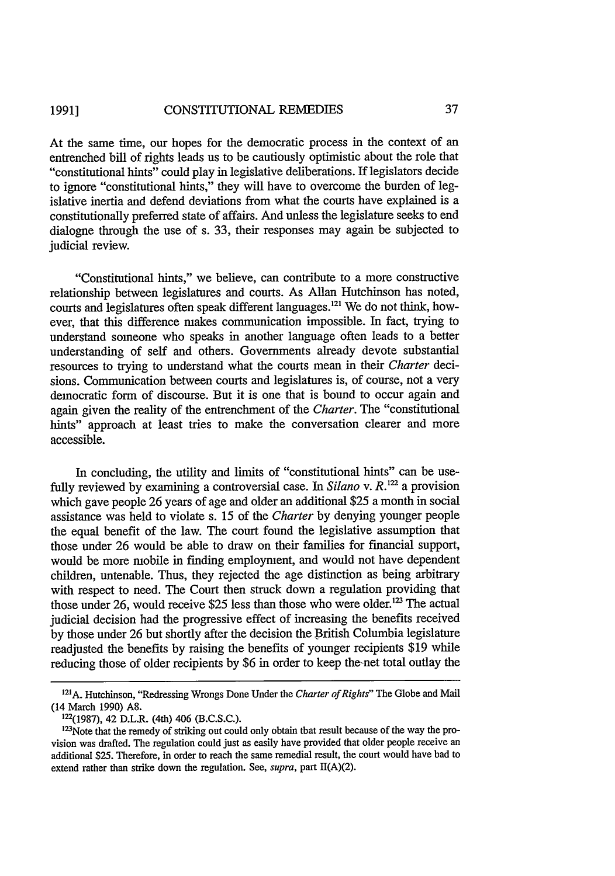#### CONSTITUTIONAL REMEDIES **1991]**

At the same time, our hopes for the democratic process in the context of an entrenched bill of rights leads us to be cautiously optimistic about the role that "constitutional hints" could play in legislative deliberations. If legislators decide to ignore "constitutional hints," they will have to overcome the burden of legislative inertia and defend deviations from what the courts have explained is a constitutionally preferred state of affairs. And unless the legislature seeks to end dialogne through the use of s. 33, their responses may again be subjected to judicial review.

"Constitutional hints," we believe, can contribute to a more constructive relationship between legislatures and courts. As Allan Hutchinson has noted, courts and legislatures often speak different languages.<sup>121</sup> We do not think, however, that this difference makes communication impossible. In fact, trying to understand someone who speaks in another language often leads to a better understanding of self and others. Governments already devote substantial resources to trying to understand what the courts mean in their *Charter* decisions. Communication between courts and legislatures is, of course, not a very democratic form of discourse. But it is one that is bound to occur again and again given the reality of the entrenchment of the *Charter.* The "constitutional hints" approach at least tries to make the conversation clearer and more accessible.

In concluding, the utility and limits of "constitutional hints" can be usefully reviewed by examining a controversial case. In *Silano* v. *R*.<sup>122</sup> a provision which gave people 26 years of age and older an additional \$25 a month in social assistance was held to violate s. 15 of the *Charter* by denying younger people the equal benefit of the law. The court found the legislative assumption that those under 26 would be able to draw on their families for financial support, would be more mobile in finding employment, and would not have dependent children, untenable. Thus, they rejected the age distinction as being arbitrary with respect to need. The Court then struck down a regulation providing that those under 26, would receive \$25 less than those who were older.<sup>123</sup> The actual judicial decision had the progressive effect of increasing the benefits received by those under 26 but shortly after the decision the British Columbia legislature readjusted the benefits by raising the benefits of younger recipients \$19 while reducing those of older recipients by \$6 in order to keep the-net total outlay the

**<sup>1</sup> 21 A.** Hutchinson, "Redressing Wrongs Done Under the *Charter of Rights"* The Globe and Mail (14 March 1990) A8.

**<sup>122(1987),</sup>** 42 D.L.R. (4th) 406 (B.C.S.C.).

<sup>123</sup>Note that the remedy of striking out could only obtain that result because of the way the provision was drafted. The regulation could just as easily have provided that older people receive an additional \$25. Therefore, in order to reach the same remedial result, the court would have had to extend rather than strike down the regulation. See, *supra,* part H(A)(2).